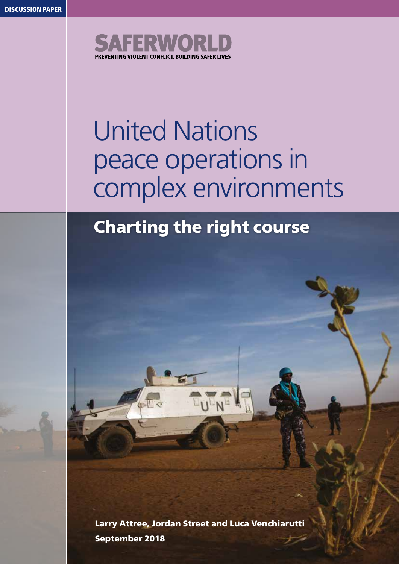

# United Nations peace operations in complex environments

## Charting the right course

Larry Attree, Jordan Street and Luca Venchiarutti September 2018

**TULNE** 

CLE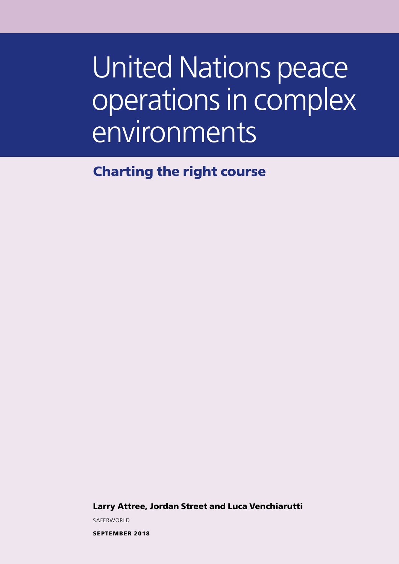# United Nations peace operations in complex environments

Charting the right course

Larry Attree, Jordan Street and Luca Venchiarutti

SAFERWORLD

SEPTEMBER 2018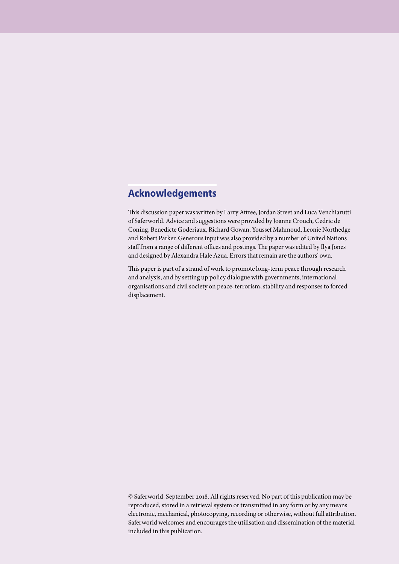#### Acknowledgements

This discussion paper was written by Larry Attree, Jordan Street and Luca Venchiarutti of Saferworld. Advice and suggestions were provided by Joanne Crouch, Cedric de Coning, Benedicte Goderiaux, Richard Gowan, Youssef Mahmoud, Leonie Northedge and Robert Parker. Generous input was also provided by a number of United Nations staff from a range of different offices and postings. The paper was edited by Ilya Jones and designed by Alexandra Hale Azua. Errors that remain are the authors' own.

This paper is part of a strand of work to promote long-term peace through research and analysis, and by setting up policy dialogue with governments, international organisations and civil society on peace, terrorism, stability and responses to forced displacement.

© Saferworld, September 2018. All rights reserved. No part of this publication may be reproduced, stored in a retrieval system or transmitted in any form or by any means electronic, mechanical, photocopying, recording or otherwise, without full attribution. Saferworld welcomes and encourages the utilisation and dissemination of the material included in this publication.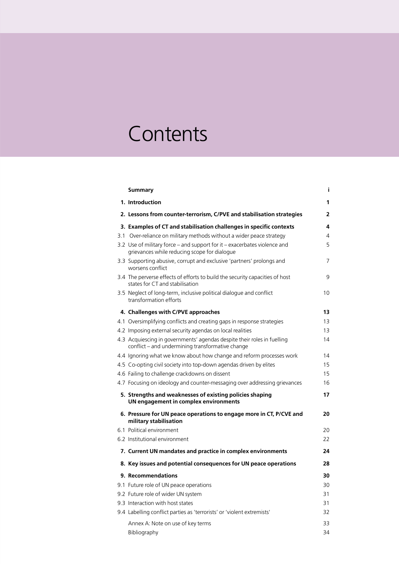## **Contents**

| Summary                                                                                                                     | i  |
|-----------------------------------------------------------------------------------------------------------------------------|----|
| 1. Introduction                                                                                                             | 1  |
| 2. Lessons from counter-terrorism, C/PVE and stabilisation strategies                                                       | 2  |
| 3. Examples of CT and stabilisation challenges in specific contexts                                                         | 4  |
| 3.1 Over-reliance on military methods without a wider peace strategy                                                        | 4  |
| 3.2 Use of military force – and support for it – exacerbates violence and<br>grievances while reducing scope for dialogue   | 5  |
| 3.3 Supporting abusive, corrupt and exclusive 'partners' prolongs and<br>worsens conflict                                   | 7  |
| 3.4 The perverse effects of efforts to build the security capacities of host<br>states for CT and stabilisation             | 9  |
| 3.5 Neglect of long-term, inclusive political dialogue and conflict<br>transformation efforts                               | 10 |
| 4. Challenges with C/PVE approaches                                                                                         | 13 |
| 4.1 Oversimplifying conflicts and creating gaps in response strategies                                                      | 13 |
| 4.2 Imposing external security agendas on local realities                                                                   | 13 |
| 4.3 Acquiescing in governments' agendas despite their roles in fuelling<br>conflict – and undermining transformative change | 14 |
| 4.4 Ignoring what we know about how change and reform processes work                                                        | 14 |
| 4.5 Co-opting civil society into top-down agendas driven by elites                                                          | 15 |
| 4.6 Failing to challenge crackdowns on dissent                                                                              | 15 |
| 4.7 Focusing on ideology and counter-messaging over addressing grievances                                                   | 16 |
| 5. Strengths and weaknesses of existing policies shaping<br>UN engagement in complex environments                           | 17 |
| 6. Pressure for UN peace operations to engage more in CT, P/CVE and<br>military stabilisation                               | 20 |
| 6.1 Political environment                                                                                                   | 20 |
| 6.2 Institutional environment                                                                                               | 22 |
| 7. Current UN mandates and practice in complex environments                                                                 | 24 |
| 8. Key issues and potential consequences for UN peace operations                                                            | 28 |
| 9. Recommendations                                                                                                          | 30 |
| 9.1 Future role of UN peace operations                                                                                      | 30 |
| 9.2 Future role of wider UN system                                                                                          | 31 |
| 9.3 Interaction with host states                                                                                            | 31 |
| 9.4 Labelling conflict parties as 'terrorists' or 'violent extremists'                                                      | 32 |
| Annex A: Note on use of key terms                                                                                           | 33 |
| Bibliography                                                                                                                | 34 |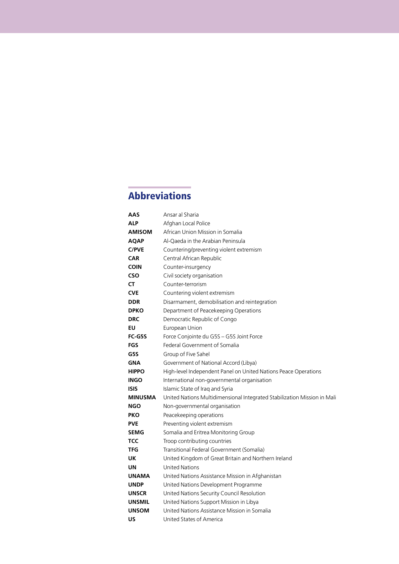#### Abbreviations

| AAS            | Ansar al Sharia                                                          |
|----------------|--------------------------------------------------------------------------|
| <b>ALP</b>     | Afghan Local Police                                                      |
| <b>AMISOM</b>  | African Union Mission in Somalia                                         |
| AQAP           | Al-Oaeda in the Arabian Peninsula                                        |
| <b>C/PVE</b>   | Countering/preventing violent extremism                                  |
| <b>CAR</b>     | Central African Republic                                                 |
| <b>COIN</b>    | Counter-insurgency                                                       |
| <b>CSO</b>     | Civil society organisation                                               |
| СT             | Counter-terrorism                                                        |
| <b>CVE</b>     | Countering violent extremism                                             |
| <b>DDR</b>     | Disarmament, demobilisation and reintegration                            |
| <b>DPKO</b>    | Department of Peacekeeping Operations                                    |
| <b>DRC</b>     | Democratic Republic of Congo                                             |
| EU             | European Union                                                           |
| <b>FC-G5S</b>  | Force Conjointe du G5S - G5S Joint Force                                 |
| FGS            | Federal Government of Somalia                                            |
| G5S            | Group of Five Sahel                                                      |
| <b>GNA</b>     | Government of National Accord (Libya)                                    |
| <b>HIPPO</b>   | High-level Independent Panel on United Nations Peace Operations          |
| INGO           | International non-governmental organisation                              |
| <b>ISIS</b>    | Islamic State of Iraq and Syria                                          |
| <b>MINUSMA</b> | United Nations Multidimensional Integrated Stabilization Mission in Mali |
| <b>NGO</b>     | Non-governmental organisation                                            |
| <b>PKO</b>     | Peacekeeping operations                                                  |
| <b>PVE</b>     | Preventing violent extremism                                             |
| SEMG           | Somalia and Eritrea Monitoring Group                                     |
| <b>TCC</b>     | Troop contributing countries                                             |
| TFG            | Transitional Federal Government (Somalia)                                |
| UK             | United Kingdom of Great Britain and Northern Ireland                     |
| UN             | <b>United Nations</b>                                                    |
| <b>UNAMA</b>   | United Nations Assistance Mission in Afghanistan                         |
| <b>UNDP</b>    | United Nations Development Programme                                     |
| <b>UNSCR</b>   | United Nations Security Council Resolution                               |
| <b>UNSMIL</b>  | United Nations Support Mission in Libya                                  |
| <b>UNSOM</b>   | United Nations Assistance Mission in Somalia                             |
| บร             | United States of America                                                 |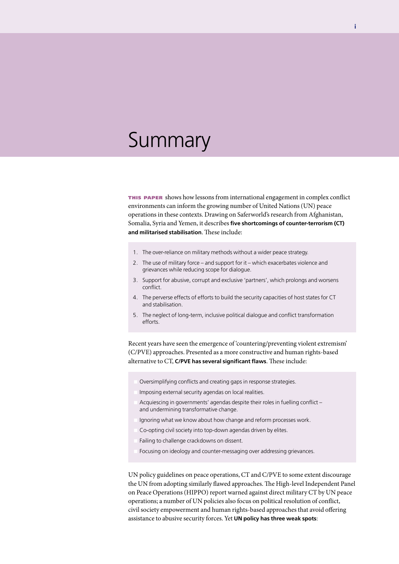## **Summary**

this paper shows how lessons from international engagement in complex conflict environments can inform the growing number of United Nations (UN) peace operations in these contexts. Drawing on Saferworld's research from Afghanistan, Somalia, Syria and Yemen, it describes **five shortcomings of counter-terrorism (CT) and militarised stabilisation**. These include:

- 1. The over-reliance on military methods without a wider peace strategy.
- 2. The use of military force and support for it which exacerbates violence and grievances while reducing scope for dialogue.
- 3. Support for abusive, corrupt and exclusive 'partners', which prolongs and worsens conflict.
- 4. The perverse effects of efforts to build the security capacities of host states for CT and stabilisation.
- 5. The neglect of long-term, inclusive political dialogue and conflict transformation efforts.

Recent years have seen the emergence of 'countering/preventing violent extremism' (C/PVE) approaches. Presented as a more constructive and human rights-based alternative to CT, **C/PVE has several significant flaws**. These include:

- Oversimplifying conflicts and creating gaps in response strategies.
- Imposing external security agendas on local realities.
- Acquiescing in governments' agendas despite their roles in fuelling conflict and undermining transformative change.
- Ignoring what we know about how change and reform processes work.
- Co-opting civil society into top-down agendas driven by elites.
- Failing to challenge crackdowns on dissent.
- Focusing on ideology and counter-messaging over addressing grievances.

UN policy guidelines on peace operations, CT and C/PVE to some extent discourage the UN from adopting similarly flawed approaches. The High-level Independent Panel on Peace Operations (HIPPO) report warned against direct military CT by UN peace operations; a number of UN policies also focus on political resolution of conflict, civil society empowerment and human rights-based approaches that avoid offering assistance to abusive security forces. Yet **UN policy has three weak spots**: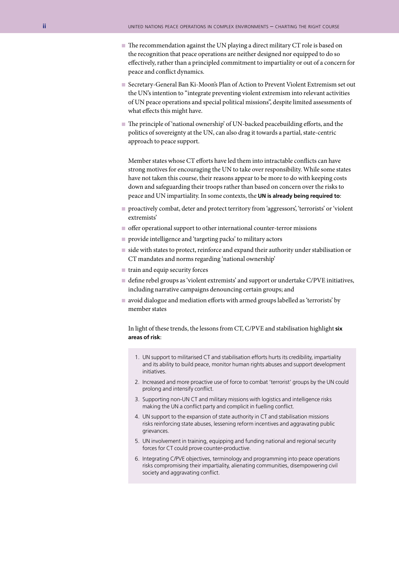- The recommendation against the UN playing a direct military CT role is based on the recognition that peace operations are neither designed nor equipped to do so effectively, rather than a principled commitment to impartiality or out of a concern for peace and conflict dynamics.
- Secretary-General Ban Ki-Moon's Plan of Action to Prevent Violent Extremism set out the UN's intention to "integrate preventing violent extremism into relevant activities of UN peace operations and special political missions", despite limited assessments of what effects this might have.
- n The principle of 'national ownership' of UN-backed peacebuilding efforts, and the politics of sovereignty at the UN, can also drag it towards a partial, state-centric approach to peace support.

Member states whose CT efforts have led them into intractable conflicts can have strong motives for encouraging the UN to take over responsibility. While some states have not taken this course, their reasons appear to be more to do with keeping costs down and safeguarding their troops rather than based on concern over the risks to peace and UN impartiality. In some contexts, the **UN is already being required to**:

- proactively combat, deter and protect territory from 'aggressors', 'terrorists' or 'violent extremists'
- $\blacksquare$  offer operational support to other international counter-terror missions
- n provide intelligence and 'targeting packs' to military actors
- $\blacksquare$  side with states to protect, reinforce and expand their authority under stabilisation or CT mandates and norms regarding 'national ownership'
- $\blacksquare$  train and equip security forces
- n define rebel groups as 'violent extremists' and support or undertake C/PVE initiatives, including narrative campaigns denouncing certain groups; and
- varied dialogue and mediation efforts with armed groups labelled as 'terrorists' by member states

In light of these trends, the lessons from CT, C/PVE and stabilisation highlight **six areas of risk**:

- 1. UN support to militarised CT and stabilisation efforts hurts its credibility, impartiality and its ability to build peace, monitor human rights abuses and support development initiatives.
- 2. Increased and more proactive use of force to combat 'terrorist' groups by the UN could prolong and intensify conflict.
- 3. Supporting non-UN CT and military missions with logistics and intelligence risks making the UN a conflict party and complicit in fuelling conflict.
- 4. UN support to the expansion of state authority in CT and stabilisation missions risks reinforcing state abuses, lessening reform incentives and aggravating public grievances.
- 5. UN involvement in training, equipping and funding national and regional security forces for CT could prove counter-productive.
- 6. Integrating C/PVE objectives, terminology and programming into peace operations risks compromising their impartiality, alienating communities, disempowering civil society and aggravating conflict.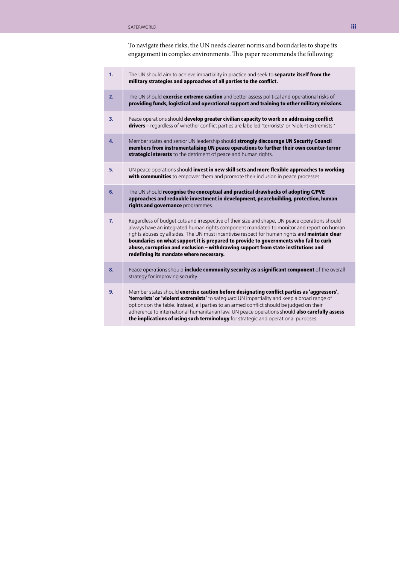To navigate these risks, the UN needs clearer norms and boundaries to shape its engagement in complex environments. This paper recommends the following:

| 1. | The UN should aim to achieve impartiality in practice and seek to separate itself from the<br>military strategies and approaches of all parties to the conflict.                                                                                                                                                                                                                                                                                                                                                      |  |
|----|-----------------------------------------------------------------------------------------------------------------------------------------------------------------------------------------------------------------------------------------------------------------------------------------------------------------------------------------------------------------------------------------------------------------------------------------------------------------------------------------------------------------------|--|
| 2. | The UN should exercise extreme caution and better assess political and operational risks of<br>providing funds, logistical and operational support and training to other military missions.                                                                                                                                                                                                                                                                                                                           |  |
| 3. | Peace operations should develop greater civilian capacity to work on addressing conflict<br>drivers - regardless of whether conflict parties are labelled 'terrorists' or 'violent extremists.'                                                                                                                                                                                                                                                                                                                       |  |
| 4. | Member states and senior UN leadership should strongly discourage UN Security Council<br>members from instrumentalising UN peace operations to further their own counter-terror<br>strategic interests to the detriment of peace and human rights.                                                                                                                                                                                                                                                                    |  |
| 5. | UN peace operations should invest in new skill sets and more flexible approaches to working<br>with communities to empower them and promote their inclusion in peace processes.                                                                                                                                                                                                                                                                                                                                       |  |
| 6. | The UN should recognise the conceptual and practical drawbacks of adopting C/PVE<br>approaches and redouble investment in development, peacebuilding, protection, human<br>rights and governance programmes.                                                                                                                                                                                                                                                                                                          |  |
| 7. | Regardless of budget cuts and irrespective of their size and shape, UN peace operations should<br>always have an integrated human rights component mandated to monitor and report on human<br>rights abuses by all sides. The UN must incentivise respect for human rights and maintain clear<br>boundaries on what support it is prepared to provide to governments who fail to curb<br>abuse, corruption and exclusion - withdrawing support from state institutions and<br>redefining its mandate where necessary. |  |
| 8. | Peace operations should <b>include community security as a significant component</b> of the overall<br>strategy for improving security.                                                                                                                                                                                                                                                                                                                                                                               |  |
| 9. | Member states should exercise caution before designating conflict parties as 'aggressors',<br>'terrorists' or 'violent extremists' to safeguard UN impartiality and keep a broad range of<br>options on the table. Instead, all parties to an armed conflict should be judged on their<br>adherence to international humanitarian law. UN peace operations should also carefully assess<br>the implications of using such terminology for strategic and operational purposes.                                         |  |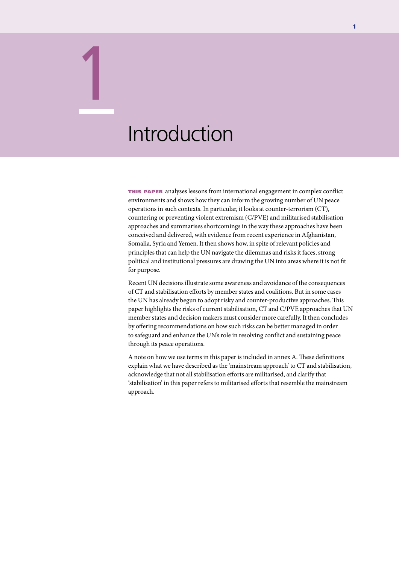## Introduction

1

this paper analyses lessons from international engagement in complex conflict environments and shows how they can inform the growing number of UN peace operations in such contexts. In particular, it looks at counter-terrorism (CT), countering or preventing violent extremism (C/PVE) and militarised stabilisation approaches and summarises shortcomings in the way these approaches have been conceived and delivered, with evidence from recent experience in Afghanistan, Somalia, Syria and Yemen. It then shows how, in spite of relevant policies and principles that can help the UN navigate the dilemmas and risks it faces, strong political and institutional pressures are drawing the UN into areas where it is not fit for purpose.

Recent UN decisions illustrate some awareness and avoidance of the consequences of CT and stabilisation efforts by member states and coalitions. But in some cases the UN has already begun to adopt risky and counter-productive approaches. This paper highlights the risks of current stabilisation, CT and C/PVE approaches that UN member states and decision makers must consider more carefully. It then concludes by offering recommendations on how such risks can be better managed in order to safeguard and enhance the UN's role in resolving conflict and sustaining peace through its peace operations.

A note on how we use terms in this paper is included in annex A. These definitions explain what we have described as the 'mainstream approach' to CT and stabilisation, acknowledge that not all stabilisation efforts are militarised, and clarify that 'stabilisation' in this paper refers to militarised efforts that resemble the mainstream approach.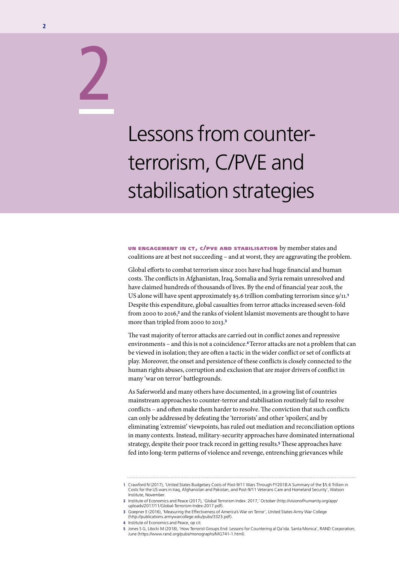## Lessons from counterterrorism, C/PVE and stabilisation strategies

un engagement in ct, c/pve and stabilisation by member states and coalitions are at best not succeeding – and at worst, they are aggravating the problem.

Global efforts to combat terrorism since 2001 have had huge financial and human costs. The conflicts in Afghanistan, Iraq, Somalia and Syria remain unresolved and have claimed hundreds of thousands of lives. By the end of financial year 2018, the US alone will have spent approximately \$5.6 trillion combating terrorism since 9/11.<sup>1</sup> Despite this expenditure, global casualties from terror attacks increased seven-fold from 2000 to 2016,<sup>2</sup> and the ranks of violent Islamist movements are thought to have more than tripled from 2000 to 2013.<sup>3</sup>

The vast majority of terror attacks are carried out in conflict zones and repressive environments – and this is not a coincidence.4 Terror attacks are not a problem that can be viewed in isolation; they are often a tactic in the wider conflict or set of conflicts at play. Moreover, the onset and persistence of these conflicts is closely connected to the human rights abuses, corruption and exclusion that are major drivers of conflict in many 'war on terror' battlegrounds.

As Saferworld and many others have documented, in a growing list of countries mainstream approaches to counter-terror and stabilisation routinely fail to resolve conflicts – and often make them harder to resolve. The conviction that such conflicts can only be addressed by defeating the 'terrorists' and other 'spoilers', and by eliminating 'extremist' viewpoints, has ruled out mediation and reconciliation options in many contexts. Instead, military-security approaches have dominated international strategy, despite their poor track record in getting results.5 These approaches have fed into long-term patterns of violence and revenge, entrenching grievances while

2

**<sup>1</sup>** Crawford N (2017), 'United States Budgetary Costs of Post-9/11 Wars Through FY2018:A Summary of the \$5.6 Trillion in Costs for the US wars in Iraq, Afghanistan and Pakistan, and Post-9/11 Veterans Care and Homeland Security', Watson Institute, November.

<sup>2</sup> Institute of Economics and Peace (2017), 'Global Terrorism Index: 2017,' October (http://visionofhumanity.org/app/ uploads/2017/11/Global-Terrorism-Index-2017.pdf).

<sup>3</sup> Goepner E (2016), 'Measuring the Effectiveness of America's War on Terror', United States Army War College (http://publications.armywarcollege.edu/pubs/3323.pdf).

<sup>4</sup> Institute of Economics and Peace, op cit.

<sup>5</sup> Jones S G, Libicki M (2018), 'How Terrorist Groups End: Lessons for Countering al Qa'ida. Santa Monica', RAND Corporation, June (https://www.rand.org/pubs/monographs/MG741-1.html).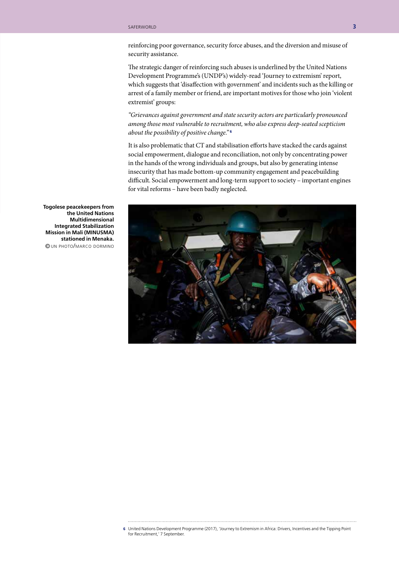reinforcing poor governance, security force abuses, and the diversion and misuse of security assistance.

The strategic danger of reinforcing such abuses is underlined by the United Nations Development Programme's (UNDP's) widely-read 'Journey to extremism' report, which suggests that 'disaffection with government' and incidents such as the killing or arrest of a family member or friend, are important motives for those who join 'violent extremist' groups:

*"Grievances against government and state security actors are particularly pronounced among those most vulnerable to recruitment, who also express deep-seated scepticism about the possibility of positive change."* <sup>6</sup>

It is also problematic that CT and stabilisation efforts have stacked the cards against social empowerment, dialogue and reconciliation, not only by concentrating power in the hands of the wrong individuals and groups, but also by generating intense insecurity that has made bottom-up community engagement and peacebuilding difficult. Social empowerment and long-term support to society – important engines for vital reforms – have been badly neglected.



**Togolese peacekeepers from the United Nations Multidimensional Integrated Stabilization Mission in Mali (MINUSMA) stationed in Menaka.** © un photo/marco dormino

6 United Nations Development Programme (2017), 'Journey to Extremism in Africa: Drivers, Incentives and the Tipping Point for Recruitment,' 7 September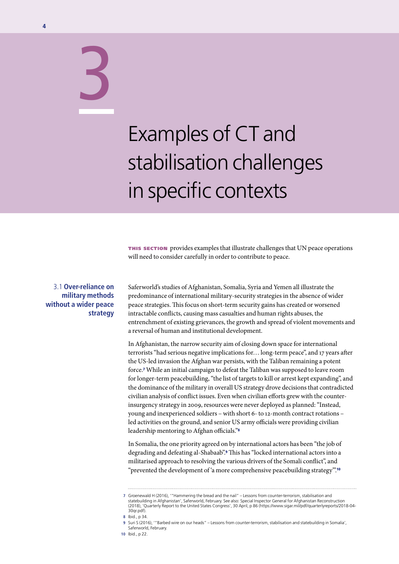# Examples of CT and stabilisation challenges in specific contexts

this section provides examples that illustrate challenges that UN peace operations will need to consider carefully in order to contribute to peace.

#### 3.1 **Over-reliance on military methods without a wider peace strategy**

3

Saferworld's studies of Afghanistan, Somalia, Syria and Yemen all illustrate the predominance of international military-security strategies in the absence of wider peace strategies. This focus on short-term security gains has created or worsened intractable conflicts, causing mass casualties and human rights abuses, the entrenchment of existing grievances, the growth and spread of violent movements and a reversal of human and institutional development.

In Afghanistan, the narrow security aim of closing down space for international terrorists "had serious negative implications for… long-term peace", and 17 years after the US-led invasion the Afghan war persists, with the Taliban remaining a potent force.7 While an initial campaign to defeat the Taliban was supposed to leave room for longer-term peacebuilding, "the list of targets to kill or arrest kept expanding", and the dominance of the military in overall US strategy drove decisions that contradicted civilian analysis of conflict issues. Even when civilian efforts grew with the counterinsurgency strategy in 2009, resources were never deployed as planned: "Instead, young and inexperienced soldiers – with short 6- to 12-month contract rotations – led activities on the ground, and senior US army officials were providing civilian leadership mentoring to Afghan officials."<sup>8</sup>

In Somalia, the one priority agreed on by international actors has been "the job of degrading and defeating al-Shabaab".9 This has "locked international actors into a militarised approach to resolving the various drivers of the Somali conflict", and "prevented the development of 'a more comprehensive peacebuilding strategy'".<sup>10</sup>

**<sup>7</sup>** Groenewald H (2016), '"Hammering the bread and the nail" – Lessons from counter-terrorism, stabilisation and statebuilding in Afghanistan', Saferworld, February. See also: Special Inspector General for Afghanistan Reconstruction (2018), 'Quarterly Report to the United States Congress', 30 April, p 86 (https://www.sigar.mil/pdf/quarterlyreports/2018-04- 30qr.pdf).

**<sup>8</sup>** Ibid., p 34.

**<sup>9</sup>** Suri S (2016), '"Barbed wire on our heads" – Lessons from counter-terrorism, stabilisation and statebuilding in Somalia', Saferworld, February.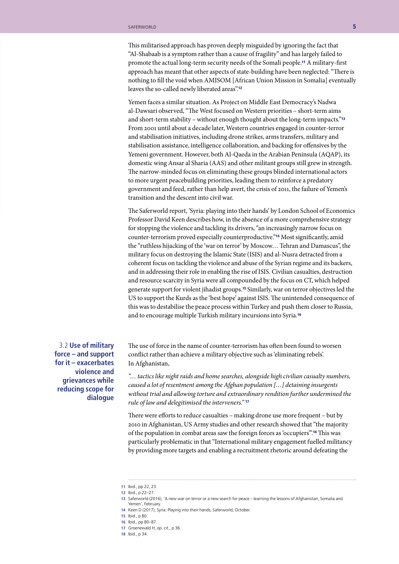This militarised approach has proven deeply misguided by ignoring the fact that "Al-Shabaab is a symptom rather than a cause of fragility" and has largely failed to promote the actual long-term security needs of the Somali people.11 A military-first approach has meant that other aspects of state-building have been neglected: "There is nothing to fill the void when AMISOM [African Union Mission in Somalia] eventually leaves the so-called newly liberated areas".<sup>12</sup>

Yemen faces a similar situation. As Project on Middle East Democracy's Nadwa al-Dawsari observed, "The West focused on Western priorities – short-term aims and short-term stability – without enough thought about the long-term impacts."<sup>13</sup> From 2001 until about a decade later, Western countries engaged in counter-terror and stabilisation initiatives, including drone strikes, arms transfers, military and stabilisation assistance, intelligence collaboration, and backing for offensives by the Yemeni government. However, both Al-Qaeda in the Arabian Peninsula (AQAP), its domestic wing Ansar al Sharia (AAS) and other militant groups still grew in strength. The narrow-minded focus on eliminating these groups blinded international actors to more urgent peacebuilding priorities, leading them to reinforce a predatory government and feed, rather than help avert, the crisis of 2011, the failure of Yemen's transition and the descent into civil war.

The Saferworld report, 'Syria: playing into their hands' by London School of Economics Professor David Keen describes how, in the absence of a more comprehensive strategy for stopping the violence and tackling its drivers, "an increasingly narrow focus on counter-terrorism proved especially counterproductive."14 Most significantly, amid the "ruthless hijacking of the 'war on terror' by Moscow… Tehran and Damascus", the military focus on destroying the Islamic State (ISIS) and al-Nusra detracted from a coherent focus on tackling the violence and abuse of the Syrian regime and its backers, and in addressing their role in enabling the rise of ISIS. Civilian casualties, destruction and resource scarcity in Syria were all compounded by the focus on CT, which helped generate support for violent jihadist groups.15 Similarly, war on terror objectives led the US to support the Kurds as the 'best hope' against ISIS. The unintended consequence of this was to destabilise the peace process within Turkey and push them closer to Russia, and to encourage multiple Turkish military incursions into Syria.<sup>16</sup>

3.2 **Use of military force – and support for it – exacerbates violence and grievances while reducing scope for dialogue**

The use of force in the name of counter-terrorism has often been found to worsen conflict rather than achieve a military objective such as 'eliminating rebels'. In Afghanistan,

*"… tactics like night raids and home searches, alongside high civilian casualty numbers, caused a lot of resentment among the Afghan population […] detaining insurgents without trial and allowing torture and extraordinary rendition further undermined the rule of law and delegitimised the interveners."* <sup>17</sup>

There were efforts to reduce casualties – making drone use more frequent – but by 2010 in Afghanistan, US Army studies and other research showed that "the majority of the population in combat areas saw the foreign forces as 'occupiers'".18 This was particularly problematic in that "International military engagement fuelled militancy by providing more targets and enabling a recruitment rhetoric around defeating the

- **17** Groenewald H, op. cit., p 36.
- **18** Ibid., p 34.

**<sup>11</sup>** Ibid., pp 22, 23.

**<sup>12</sup>** Ibid., p 22–27.

**<sup>13</sup>** Saferworld (2016), 'A new war on terror or a new search for peace – learning the lessons of Afghanistan, Somalia and Yemen', February.

**<sup>14</sup>** Keen D (2017), Syria: Playing into their hands, Saferworld, October.

**<sup>15</sup>** Ibid., p 80.

**<sup>16</sup>** Ibid., pp 80–87.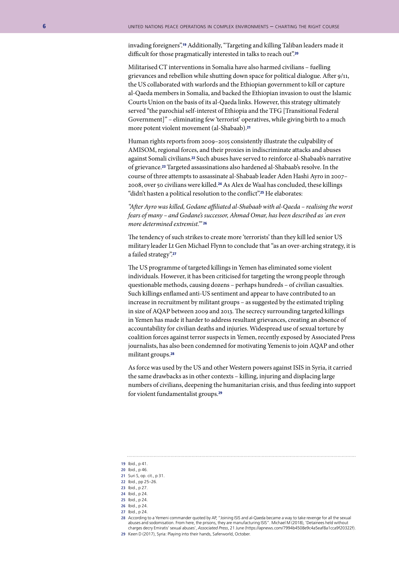invading foreigners".19 Additionally, "Targeting and killing Taliban leaders made it difficult for those pragmatically interested in talks to reach out".<sup>20</sup>

Militarised CT interventions in Somalia have also harmed civilians – fuelling grievances and rebellion while shutting down space for political dialogue. After 9/11, the US collaborated with warlords and the Ethiopian government to kill or capture al-Qaeda members in Somalia, and backed the Ethiopian invasion to oust the Islamic Courts Union on the basis of its al-Qaeda links. However, this strategy ultimately served "the parochial self-interest of Ethiopia and the TFG [Transitional Federal Government]" – eliminating few 'terrorist' operatives, while giving birth to a much more potent violent movement (al-Shabaab).<sup>21</sup>

Human rights reports from 2009–2015 consistently illustrate the culpability of AMISOM, regional forces, and their proxies in indiscriminate attacks and abuses against Somali civilians.22 Such abuses have served to reinforce al-Shabaab's narrative of grievance.23 Targeted assassinations also hardened al-Shabaab's resolve. In the course of three attempts to assassinate al-Shabaab leader Aden Hashi Ayro in 2007– 2008, over 50 civilians were killed.24 As Alex de Waal has concluded, these killings "didn't hasten a political resolution to the conflict".<sup>25</sup> He elaborates:

*"After Ayro was killed, Godane affiliated al-Shabaab with al-Qaeda – realising the worst fears of many – and Godane's successor, Ahmad Omar, has been described as 'an even more determined extremist.'"* <sup>26</sup>

The tendency of such strikes to create more 'terrorists' than they kill led senior US military leader Lt Gen Michael Flynn to conclude that "as an over-arching strategy, it is a failed strategy".<sup>27</sup>

The US programme of targeted killings in Yemen has eliminated some violent individuals. However, it has been criticised for targeting the wrong people through questionable methods, causing dozens – perhaps hundreds – of civilian casualties. Such killings enflamed anti-US sentiment and appear to have contributed to an increase in recruitment by militant groups – as suggested by the estimated tripling in size of AQAP between 2009 and 2013. The secrecy surrounding targeted killings in Yemen has made it harder to address resultant grievances, creating an absence of accountability for civilian deaths and injuries. Widespread use of sexual torture by coalition forces against terror suspects in Yemen, recently exposed by Associated Press journalists, has also been condemned for motivating Yemenis to join AQAP and other militant groups.<sup>28</sup>

As force was used by the US and other Western powers against ISIS in Syria, it carried the same drawbacks as in other contexts – killing, injuring and displacing large numbers of civilians, deepening the humanitarian crisis, and thus feeding into support for violent fundamentalist groups.<sup>29</sup>

**26** Ibid., p 24.

**28** According to a Yemeni commander quoted by AP, "Joining ISIS and al-Qaeda became a way to take revenge for all the sexual abuses and sodomisation. From here, the prisons, they are manufacturing ISIS". Michael M (2018), 'Detainees held without charges decry Emiratis' sexual abuses', *Associated Press*, 21 June (https://apnews.com/7994b4508e9c4a5eaf8a1cca9f20322f).

**29** Keen D (2017), Syria: Playing into their hands, Saferworld, October.

**<sup>19</sup>** Ibid., p 41.

**<sup>20</sup>** Ibid., p 46.

**<sup>21</sup>** Suri S, op. cit., p 31.

**<sup>22</sup>** Ibid., pp 25–26.

**<sup>23</sup>** Ibid., p 27. **24** Ibid., p 24.

**<sup>25</sup>** Ibid., p 24.

**<sup>27</sup>** Ibid., p 24.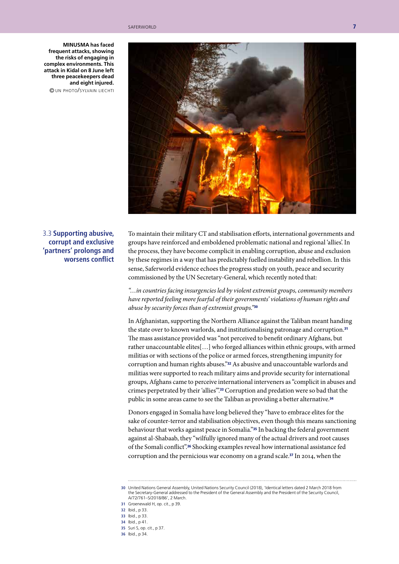**MINUSMA has faced frequent attacks, showing the risks of engaging in complex environments. This attack in Kidal on 8 June left three peacekeepers dead and eight injured.**

© un photo/sylvain liechti



3.3 **Supporting abusive, corrupt and exclusive 'partners' prolongs and worsens conflict**

To maintain their military CT and stabilisation efforts, international governments and groups have reinforced and emboldened problematic national and regional 'allies'. In the process, they have become complicit in enabling corruption, abuse and exclusion by these regimes in a way that has predictably fuelled instability and rebellion. In this sense, Saferworld evidence echoes the progress study on youth, peace and security commissioned by the UN Secretary-General, which recently noted that:

*"…in countries facing insurgencies led by violent extremist groups, community members have reported feeling more fearful of their governments' violations of human rights and abuse by security forces than of extremist groups."*<sup>30</sup>

In Afghanistan, supporting the Northern Alliance against the Taliban meant handing the state over to known warlords, and institutionalising patronage and corruption.<sup>31</sup> The mass assistance provided was "not perceived to benefit ordinary Afghans, but rather unaccountable elites[…] who forged alliances within ethnic groups, with armed militias or with sections of the police or armed forces, strengthening impunity for corruption and human rights abuses."32 As abusive and unaccountable warlords and militias were supported to reach military aims and provide security for international groups, Afghans came to perceive international interveners as "complicit in abuses and crimes perpetrated by their 'allies'".33 Corruption and predation were so bad that the public in some areas came to see the Taliban as providing a better alternative.<sup>34</sup>

Donors engaged in Somalia have long believed they "have to embrace elites for the sake of counter-terror and stabilisation objectives, even though this means sanctioning behaviour that works against peace in Somalia."35 In backing the federal government against al-Shabaab, they "wilfully ignored many of the actual drivers and root causes of the Somali conflict".36 Shocking examples reveal how international assistance fed corruption and the pernicious war economy on a grand scale.37 In 2014, when the

**32** Ibid., p 33.

- **34** Ibid., p 41.
- **35** Suri S, op. cit., p 37.
- **36** Ibid., p 34.

**<sup>30</sup>** United Nations General Assembly, United Nations Security Council (2018), 'Identical letters dated 2 March 2018 from the Secretary-General addressed to the President of the General Assembly and the President of the Security Council, A/72/761–S/2018/86', 2 March.

**<sup>31</sup>** Groenewald H, op. cit., p 39.

**<sup>33</sup>** Ibid., p 33.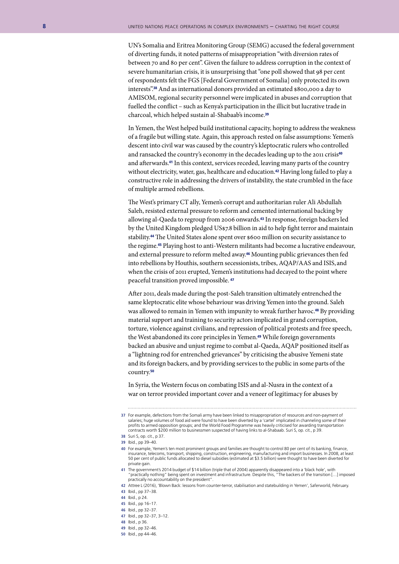UN's Somalia and Eritrea Monitoring Group (SEMG) accused the federal government of diverting funds, it noted patterns of misappropriation "with diversion rates of between 70 and 80 per cent". Given the failure to address corruption in the context of severe humanitarian crisis, it is unsurprising that "one poll showed that 98 per cent of respondents felt the FGS [Federal Government of Somalia] only protected its own interests".38 And as international donors provided an estimated \$800,000 a day to AMISOM, regional security personnel were implicated in abuses and corruption that fuelled the conflict – such as Kenya's participation in the illicit but lucrative trade in charcoal, which helped sustain al-Shabaab's income.<sup>39</sup>

In Yemen, the West helped build institutional capacity, hoping to address the weakness of a fragile but willing state. Again, this approach rested on false assumptions: Yemen's descent into civil war was caused by the country's kleptocratic rulers who controlled and ransacked the country's economy in the decades leading up to the 2011 crisis<sup>40</sup> and afterwards.41 In this context, services receded, leaving many parts of the country without electricity, water, gas, healthcare and education.<sup>42</sup> Having long failed to play a constructive role in addressing the drivers of instability, the state crumbled in the face of multiple armed rebellions.

The West's primary CT ally, Yemen's corrupt and authoritarian ruler Ali Abdullah Saleh, resisted external pressure to reform and cemented international backing by allowing al-Qaeda to regroup from 2006 onwards.43 In response, foreign backers led by the United Kingdom pledged US\$7.8 billion in aid to help fight terror and maintain stability.44 The United States alone spent over \$600 million on security assistance to the regime.45 Playing host to anti-Western militants had become a lucrative endeavour, and external pressure to reform melted away.46 Mounting public grievances then fed into rebellions by Houthis, southern secessionists, tribes, AQAP/AAS and ISIS, and when the crisis of 2011 erupted, Yemen's institutions had decayed to the point where peaceful transition proved impossible. <sup>47</sup>

After 2011, deals made during the post-Saleh transition ultimately entrenched the same kleptocratic elite whose behaviour was driving Yemen into the ground. Saleh was allowed to remain in Yemen with impunity to wreak further havoc.48 By providing material support and training to security actors implicated in grand corruption, torture, violence against civilians, and repression of political protests and free speech, the West abandoned its core principles in Yemen.49 While foreign governments backed an abusive and unjust regime to combat al-Qaeda, AQAP positioned itself as a "lightning rod for entrenched grievances" by criticising the abusive Yemeni state and its foreign backers, and by providing services to the public in some parts of the country.<sup>50</sup>

In Syria, the Western focus on combating ISIS and al-Nusra in the context of a war on terror provided important cover and a veneer of legitimacy for abuses by

- **47** Ibid., pp 32–37, 3–12.
- **48** Ibid., p 36.
- **49** Ibid., pp 32–46.
- **50** Ibid., pp 44–46.

**<sup>37</sup>** For example, defections from the Somali army have been linked to misappropriation of resources and non-payment of salaries; huge volumes of food aid were found to have been diverted by a 'cartel' implicated in channeling some of their<br>profits to armed opposition groups; and the World Food Programme was heavily criticised for awarding contracts worth \$200 million to businessmen suspected of having links to al-Shabaab. Suri S, op. cit., p 39.

**<sup>38</sup>** Suri S, op. cit., p 37.

**<sup>39</sup>** Ibid., pp 39–40.

**<sup>40</sup>** For example, Yemen's ten most prominent groups and families are thought to control 80 per cent of its banking, finance, insurance, telecoms, transport, shipping, construction, engineering, manufacturing and import businesses. In 2008, at least 50 per cent of public funds allocated to diesel subsidies (estimated at \$3.5 billion) were thought to have been diverted for private gain.

**<sup>41</sup>** The government's 2014 budget of \$14 billion (triple that of 2004) apparently disappeared into a 'black hole', with "practically nothing" being spent on investment and infrastructure. Despite this, "The backers of the transition […] imposed practically no accountability on the president".

**<sup>42</sup>** Attree L (2016), 'Blown Back: lessons from counter-terror, stabilisation and statebuilding in Yemen', Saferworld, February. **43** Ibid., pp 37–38.

**<sup>44</sup>** Ibid., p 24.

**<sup>45</sup>** Ibid., pp 16–17.

**<sup>46</sup>** Ibid., pp 32–37.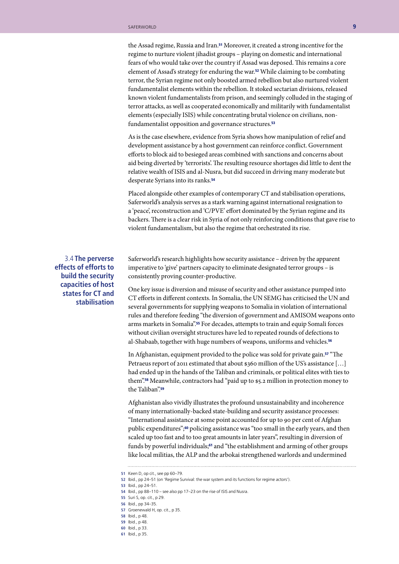the Assad regime, Russia and Iran.<sup>51</sup> Moreover, it created a strong incentive for the regime to nurture violent jihadist groups – playing on domestic and international fears of who would take over the country if Assad was deposed. This remains a core element of Assad's strategy for enduring the war.52 While claiming to be combating terror, the Syrian regime not only boosted armed rebellion but also nurtured violent fundamentalist elements within the rebellion. It stoked sectarian divisions, released known violent fundamentalists from prison, and seemingly colluded in the staging of terror attacks, as well as cooperated economically and militarily with fundamentalist elements (especially ISIS) while concentrating brutal violence on civilians, nonfundamentalist opposition and governance structures.<sup>53</sup>

As is the case elsewhere, evidence from Syria shows how manipulation of relief and development assistance by a host government can reinforce conflict. Government efforts to block aid to besieged areas combined with sanctions and concerns about aid being diverted by 'terrorists'. The resulting resource shortages did little to dent the relative wealth of ISIS and al-Nusra, but did succeed in driving many moderate but desperate Syrians into its ranks.<sup>54</sup>

Placed alongside other examples of contemporary CT and stabilisation operations, Saferworld's analysis serves as a stark warning against international resignation to a 'peace', reconstruction and 'C/PVE' effort dominated by the Syrian regime and its backers. There is a clear risk in Syria of not only reinforcing conditions that gave rise to violent fundamentalism, but also the regime that orchestrated its rise.

3.4 **The perverse effects of efforts to build the security capacities of host states for CT and stabilisation**

Saferworld's research highlights how security assistance – driven by the apparent imperative to 'give' partners capacity to eliminate designated terror groups – is consistently proving counter-productive.

One key issue is diversion and misuse of security and other assistance pumped into CT efforts in different contexts. In Somalia, the UN SEMG has criticised the UN and several governments for supplying weapons to Somalia in violation of international rules and therefore feeding "the diversion of government and AMISOM weapons onto arms markets in Somalia".55 For decades, attempts to train and equip Somali forces without civilian oversight structures have led to repeated rounds of defections to al-Shabaab, together with huge numbers of weapons, uniforms and vehicles.<sup>56</sup>

In Afghanistan, equipment provided to the police was sold for private gain.57 "The Petraeus report of 2011 estimated that about \$360 million of the US's assistance [...] had ended up in the hands of the Taliban and criminals, or political elites with ties to them".58 Meanwhile, contractors had "paid up to \$5.2 million in protection money to the Taliban".<sup>59</sup>

Afghanistan also vividly illustrates the profound unsustainability and incoherence of many internationally-backed state-building and security assistance processes: "International assistance at some point accounted for up to 90 per cent of Afghan public expenditures";<sup>60</sup> policing assistance was "too small in the early years, and then scaled up too fast and to too great amounts in later years", resulting in diversion of funds by powerful individuals;<sup>61</sup> and "the establishment and arming of other groups like local militias, the ALP and the arbokai strengthened warlords and undermined

**51** Keen D, op cit., see pp 60–79.

- **56** Ibid., pp 34–35.
- **57** Groenewald H, op. cit., p 35.
- **58** Ibid., p 48.
- **59** Ibid., p 48. **60** Ibid., p 33.
- **61** Ibid., p 35.
- 

**<sup>52</sup>** Ibid., pp 24–51 (on 'Regime Survival: the war system and its functions for regime actors').

**<sup>53</sup>** Ibid., pp 24–51.

**<sup>54</sup>** Ibid., pp 88–110 – see also pp 17–23 on the rise of ISIS and Nusra.

**<sup>55</sup>** Suri S, op. cit., p 29.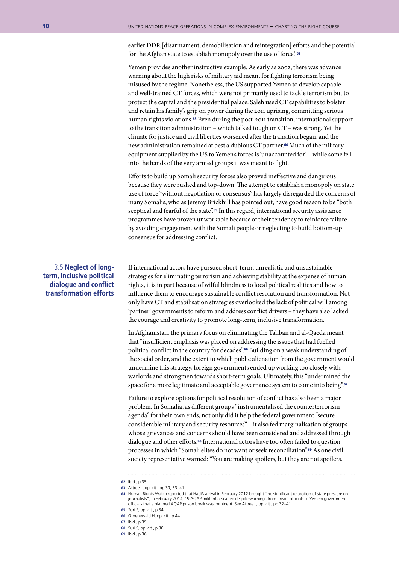earlier DDR [disarmament, demobilisation and reintegration] efforts and the potential for the Afghan state to establish monopoly over the use of force."<sup>62</sup>

Yemen provides another instructive example. As early as 2002, there was advance warning about the high risks of military aid meant for fighting terrorism being misused by the regime. Nonetheless, the US supported Yemen to develop capable and well-trained CT forces, which were not primarily used to tackle terrorism but to protect the capital and the presidential palace. Saleh used CT capabilities to bolster and retain his family's grip on power during the 2011 uprising, committing serious human rights violations.<sup>63</sup> Even during the post-2011 transition, international support to the transition administration – which talked tough on CT – was strong. Yet the climate for justice and civil liberties worsened after the transition began, and the new administration remained at best a dubious CT partner.<sup>64</sup> Much of the military equipment supplied by the US to Yemen's forces is 'unaccounted for' – while some fell into the hands of the very armed groups it was meant to fight.

Efforts to build up Somali security forces also proved ineffective and dangerous because they were rushed and top-down. The attempt to establish a monopoly on state use of force "without negotiation or consensus" has largely disregarded the concerns of many Somalis, who as Jeremy Brickhill has pointed out, have good reason to be "both sceptical and fearful of the state".<sup>65</sup> In this regard, international security assistance programmes have proven unworkable because of their tendency to reinforce failure – by avoiding engagement with the Somali people or neglecting to build bottom-up consensus for addressing conflict.

#### 3.5 **Neglect of longterm, inclusive political dialogue and conflict transformation efforts**

If international actors have pursued short-term, unrealistic and unsustainable strategies for eliminating terrorism and achieving stability at the expense of human rights, it is in part because of wilful blindness to local political realities and how to influence them to encourage sustainable conflict resolution and transformation. Not only have CT and stabilisation strategies overlooked the lack of political will among 'partner' governments to reform and address conflict drivers – they have also lacked the courage and creativity to promote long-term, inclusive transformation.

In Afghanistan, the primary focus on eliminating the Taliban and al-Qaeda meant that "insufficient emphasis was placed on addressing the issues that had fuelled political conflict in the country for decades".66 Building on a weak understanding of the social order, and the extent to which public alienation from the government would undermine this strategy, foreign governments ended up working too closely with warlords and strongmen towards short-term goals. Ultimately, this "undermined the space for a more legitimate and acceptable governance system to come into being".<sup>67</sup>

Failure to explore options for political resolution of conflict has also been a major problem. In Somalia, as different groups "instrumentalised the counterterrorism agenda" for their own ends, not only did it help the federal government "secure considerable military and security resources" – it also fed marginalisation of groups whose grievances and concerns should have been considered and addressed through dialogue and other efforts.68 International actors have too often failed to question processes in which "Somali elites do not want or seek reconciliation".69 As one civil society representative warned: "You are making spoilers, but they are not spoilers.

- **66** Groenewald H, op. cit., p 44.
- **67** Ibid., p 39.
- **68** Suri S, op. cit., p 30.
- **69** Ibid., p 36.

**<sup>62</sup>** Ibid., p 35.

**<sup>63</sup>** Attree L, op. cit., pp 39, 33–41.

**<sup>64</sup>** Human Rights Watch reported that Hadi's arrival in February 2012 brought "no significant relaxation of state pressure on journalists"; in February 2014, 19 AQAP militants escaped despite warnings from prison officials to Yemeni government officials that a planned AQAP prison break was imminent. See Attree L, op. cit., pp 32–41.

**<sup>65</sup>** Suri S, op. cit., p 34.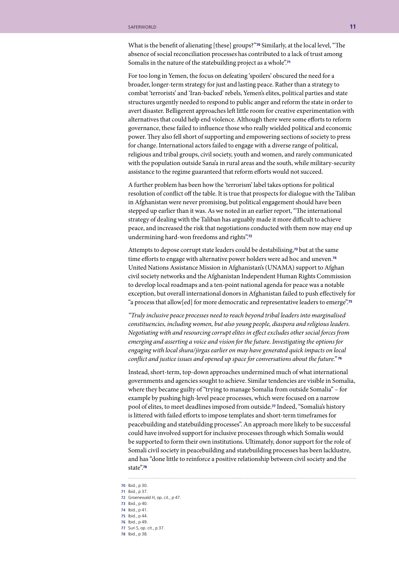What is the benefit of alienating [these] groups?"<sup>70</sup> Similarly, at the local level, "The absence of social reconciliation processes has contributed to a lack of trust among Somalis in the nature of the statebuilding project as a whole".<sup>71</sup>

For too long in Yemen, the focus on defeating 'spoilers' obscured the need for a broader, longer-term strategy for just and lasting peace. Rather than a strategy to combat 'terrorists' and 'Iran-backed' rebels, Yemen's elites, political parties and state structures urgently needed to respond to public anger and reform the state in order to avert disaster. Belligerent approaches left little room for creative experimentation with alternatives that could help end violence. Although there were some efforts to reform governance, these failed to influence those who really wielded political and economic power. They also fell short of supporting and empowering sections of society to press for change. International actors failed to engage with a diverse range of political, religious and tribal groups, civil society, youth and women, and rarely communicated with the population outside Sana'a in rural areas and the south, while military-security assistance to the regime guaranteed that reform efforts would not succeed.

A further problem has been how the 'terrorism' label takes options for political resolution of conflict off the table. It is true that prospects for dialogue with the Taliban in Afghanistan were never promising, but political engagement should have been stepped up earlier than it was. As we noted in an earlier report, "The international strategy of dealing with the Taliban has arguably made it more difficult to achieve peace, and increased the risk that negotiations conducted with them now may end up undermining hard-won freedoms and rights".<sup>72</sup>

Attempts to depose corrupt state leaders could be destabilising,73 but at the same time efforts to engage with alternative power holders were ad hoc and uneven.<sup>74</sup> United Nations Assistance Mission in Afghanistan's (UNAMA) support to Afghan civil society networks and the Afghanistan Independent Human Rights Commission to develop local roadmaps and a ten-point national agenda for peace was a notable exception, but overall international donors in Afghanistan failed to push effectively for "a process that allow[ed] for more democratic and representative leaders to emerge".<sup>75</sup>

*"Truly inclusive peace processes need to reach beyond tribal leaders into marginalised constituencies, including women, but also young people, diaspora and religious leaders. Negotiating with and resourcing corrupt elites in effect excludes other social forces from emerging and asserting a voice and vision for the future. Investigating the options for engaging with local shura/jirgas earlier on may have generated quick impacts on local conflict and justice issues and opened up space for conversations about the future."* <sup>76</sup>

Instead, short-term, top-down approaches undermined much of what international governments and agencies sought to achieve. Similar tendencies are visible in Somalia, where they became guilty of "trying to manage Somalia from outside Somalia" – for example by pushing high-level peace processes, which were focused on a narrow pool of elites, to meet deadlines imposed from outside.77 Indeed, "Somalia's history is littered with failed efforts to impose templates and short-term timeframes for peacebuilding and statebuilding processes". An approach more likely to be successful could have involved support for inclusive processes through which Somalis would be supported to form their own institutions. Ultimately, donor support for the role of Somali civil society in peacebuilding and statebuilding processes has been lacklustre, and has "done little to reinforce a positive relationship between civil society and the state".<sup>78</sup>

. . . . . . . . . . . . . . . . .

- **72** Groenewald H, op. cit., p 47.
- **73** Ibid., p 40. **74** Ibid., p 41.
- **75** Ibid., p 44.
- **76** Ibid., p 49.
- **77** Suri S, op. cit., p 37.
- **78** Ibid., p 38.
- 

**<sup>70</sup>** Ibid., p 30.

**<sup>71</sup>** Ibid., p 37.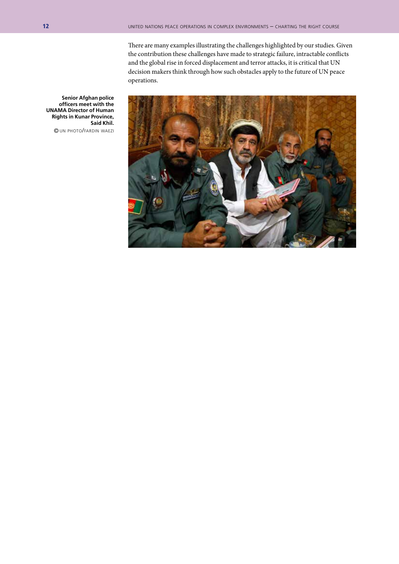There are many examples illustrating the challenges highlighted by our studies. Given the contribution these challenges have made to strategic failure, intractable conflicts and the global rise in forced displacement and terror attacks, it is critical that UN decision makers think through how such obstacles apply to the future of UN peace operations.



**Senior Afghan police officers meet with the UNAMA Director of Human Rights in Kunar Province, Said Khil.** © un photo/fardin waezi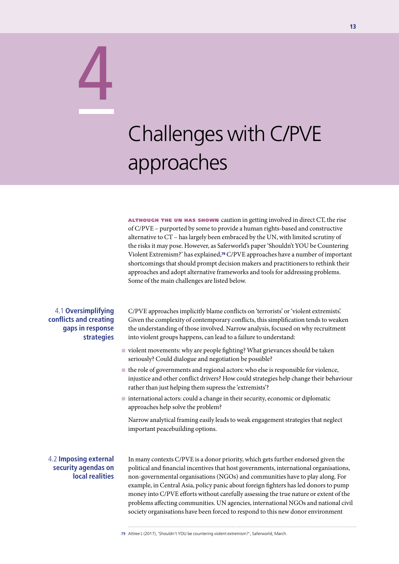# Challenges with C/PVE approaches

**ALTHOUGH THE UN HAS SHOWN** caution in getting involved in direct  $CT$ , the rise of C/PVE – purported by some to provide a human rights-based and constructive alternative to CT – has largely been embraced by the UN, with limited scrutiny of the risks it may pose. However, as Saferworld's paper 'Shouldn't YOU be Countering Violent Extremism?' has explained,79 C/PVE approaches have a number of important shortcomings that should prompt decision makers and practitioners to rethink their approaches and adopt alternative frameworks and tools for addressing problems. Some of the main challenges are listed below.

#### 4.1 **Oversimplifying conflicts and creating gaps in response strategies**

4

C/PVE approaches implicitly blame conflicts on 'terrorists' or 'violent extremists'. Given the complexity of contemporary conflicts, this simplification tends to weaken the understanding of those involved. Narrow analysis, focused on why recruitment into violent groups happens, can lead to a failure to understand:

- $\blacksquare$  violent movements: why are people fighting? What grievances should be taken seriously? Could dialogue and negotiation be possible?
- $\blacksquare$  the role of governments and regional actors: who else is responsible for violence, injustice and other conflict drivers? How could strategies help change their behaviour rather than just helping them supress the 'extremists'?
- $\blacksquare$  international actors: could a change in their security, economic or diplomatic approaches help solve the problem?

Narrow analytical framing easily leads to weak engagement strategies that neglect important peacebuilding options.

#### 4.2 **Imposing external security agendas on local realities**

In many contexts C/PVE is a donor priority, which gets further endorsed given the political and financial incentives that host governments, international organisations, non-governmental organisations (NGOs) and communities have to play along. For example, in Central Asia, policy panic about foreign fighters has led donors to pump money into C/PVE efforts without carefully assessing the true nature or extent of the problems affecting communities. UN agencies, international NGOs and national civil society organisations have been forced to respond to this new donor environment

**<sup>79</sup>** Attree L (2017), 'Shouldn't YOU be countering violent extremism?', Saferworld, March.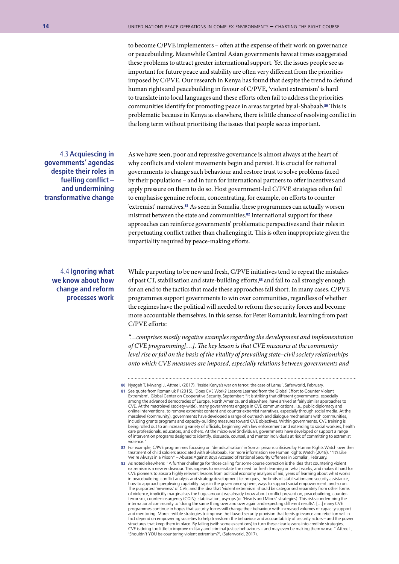to become C/PVE implementers – often at the expense of their work on governance or peacebuilding. Meanwhile Central Asian governments have at times exaggerated these problems to attract greater international support. Yet the issues people see as important for future peace and stability are often very different from the priorities imposed by C/PVE. Our research in Kenya has found that despite the trend to defund human rights and peacebuilding in favour of C/PVE, 'violent extremism' is hard to translate into local languages and these efforts often fail to address the priorities communities identify for promoting peace in areas targeted by al-Shabaab.80 This is problematic because in Kenya as elsewhere, there is little chance of resolving conflict in the long term without prioritising the issues that people see as important.

4.3 **Acquiescing in governments' agendas despite their roles in fuelling conflict – and undermining transformative change** 

As we have seen, poor and repressive governance is almost always at the heart of why conflicts and violent movements begin and persist. It is crucial for national governments to change such behaviour and restore trust to solve problems faced by their populations – and in turn for international partners to offer incentives and apply pressure on them to do so. Host government-led C/PVE strategies often fail to emphasise genuine reform, concentrating, for example, on efforts to counter 'extremist' narratives.81 As seen in Somalia, these programmes can actually worsen mistrust between the state and communities.82 International support for these approaches can reinforce governments' problematic perspectives and their roles in perpetuating conflict rather than challenging it. This is often inappropriate given the impartiality required by peace-making efforts.

4.4 **Ignoring what we know about how change and reform processes work** 

While purporting to be new and fresh, C/PVE initiatives tend to repeat the mistakes of past CT, stabilisation and state-building efforts,<sup>83</sup> and fail to call strongly enough for an end to the tactics that made these approaches fall short. In many cases, C/PVE programmes support governments to win over communities, regardless of whether the regimes have the political will needed to reform the security forces and become more accountable themselves. In this sense, for Peter Romaniuk, learning from past C/PVE efforts:

*"…comprises mostly negative examples regarding the development and implementation of CVE programming[…]. The key lesson is that CVE measures at the community level rise or fall on the basis of the vitality of prevailing state–civil society relationships onto which CVE measures are imposed, especially relations between governments and* 

**<sup>80</sup>** Nyagah T, Mwangi J, Attree L (2017), 'Inside Kenya's war on terror: the case of Lamu', Saferworld, February.

**<sup>81</sup>** See quote from Romaniuk P (2015), 'Does CVE Work? Lessons Learned from the Global Effort to Counter Violent Extremism', Global Center on Cooperative Security, September: "It is striking that different governments, especially among the advanced democracies of Europe, North America, and elsewhere, have arrived at fairly similar approaches to CVE. At the macrolevel (society-wide), many governments engage in CVE communications, i.e., public diplomacy and online interventions, to remove extremist content and counter extremist narratives, especially through social media. At the mesolevel (community), governments have developed a range of outreach and dialogue mechanisms with communities, including grants programs and capacity-building measures toward CVE objectives. Within governments, CVE training is being rolled out to an increasing variety of officials, beginning with law enforcement and extending to social workers, health care professionals, educators, and others. At the microlevel (individual), governments have developed or support a range of intervention programs designed to identify, dissuade, counsel, and mentor individuals at risk of committing to extremist violence."

**<sup>82</sup>** For example, C/PVE programmes focusing on 'deradicalisation' in Somali prisons criticised by Human Rights Watch over their treatment of child soldiers associated with al-Shabaab. For more information see Human Rights Watch (2018), '"It's Like<br>We're Always in a Prison" – Abuses Against Boys Accused of National Security Offenses in Somalia', Feb

**<sup>83</sup>** As noted elsewhere: "A further challenge for those calling for some course correction is the idea that countering violent extremism is a new endeavour. This appears to necessitate the need for fresh learning on what works, and makes it hard for CVE pioneers to absorb highly relevant lessons from political economy analyses of aid, years of learning about what works in peacebuilding, conflict analysis and strategy development techniques, the limits of stabilisation and security assistance,<br>how to approach perplexing capability traps in the governance sphere, ways to support social emp The purported 'newness' of CVE, and the idea that 'violent extremism' should be categorised separately from other forms of violence, implicitly marginalises the huge amount we already know about conflict prevention, peacebuilding, counter-<br>terrorism, counter-insurgency (COIN), stabilisation, psy-ops (or 'Hearts and Minds' strategies). This programmes continue in hopes that security forces will change their behaviour with increased volumes of capacity support and mentoring. More credible strategies to improve the flawed security provision that feeds grievance and rebellion will in fact depend on empowering societies to help transform the behaviour and accountability of security actors – and the power structures that keep them in place. By failing (with some exceptions) to turn these clear lessons into credible strategies, CVE is doing too little to improve military and criminal justice behaviours – and may even be making them worse." Attree L, 'Shouldn't YOU be countering violent extremism?', (Saferworld, 2017).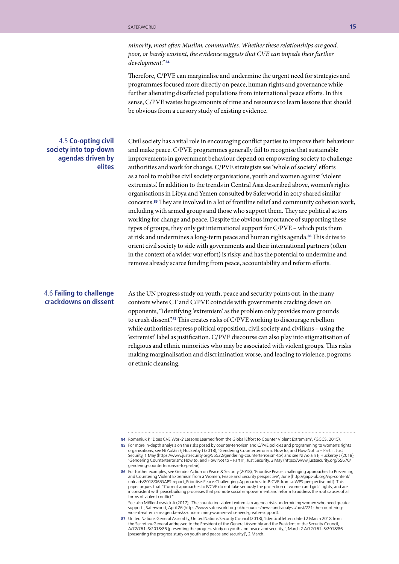*minority, most often Muslim, communities. Whether these relationships are good, poor, or barely existent, the evidence suggests that CVE can impede their further development."* <sup>84</sup>

Therefore, C/PVE can marginalise and undermine the urgent need for strategies and programmes focused more directly on peace, human rights and governance while further alienating disaffected populations from international peace efforts. In this sense, C/PVE wastes huge amounts of time and resources to learn lessons that should be obvious from a cursory study of existing evidence.

#### 4.5 **Co-opting civil society into top-down agendas driven by elites**

Civil society has a vital role in encouraging conflict parties to improve their behaviour and make peace. C/PVE programmes generally fail to recognise that sustainable improvements in government behaviour depend on empowering society to challenge authorities and work for change. C/PVE strategists see 'whole of society' efforts as a tool to mobilise civil society organisations, youth and women against 'violent extremists'. In addition to the trends in Central Asia described above, women's rights organisations in Libya and Yemen consulted by Saferworld in 2017 shared similar concerns.85 They are involved in a lot of frontline relief and community cohesion work, including with armed groups and those who support them. They are political actors working for change and peace. Despite the obvious importance of supporting these types of groups, they only get international support for C/PVE – which puts them at risk and undermines a long-term peace and human rights agenda.86 This drive to orient civil society to side with governments and their international partners (often in the context of a wider war effort) is risky, and has the potential to undermine and remove already scarce funding from peace, accountability and reform efforts.

#### 4.6 **Failing to challenge crackdowns on dissent**

As the UN progress study on youth, peace and security points out, in the many contexts where CT and C/PVE coincide with governments cracking down on opponents, "Identifying 'extremism' as the problem only provides more grounds to crush dissent".87 This creates risks of C/PVE working to discourage rebellion while authorities repress political opposition, civil society and civilians – using the 'extremist' label as justification. C/PVE discourse can also play into stigmatisation of religious and ethnic minorities who may be associated with violent groups. This risks making marginalisation and discrimination worse, and leading to violence, pogroms or ethnic cleansing.

**<sup>84</sup>** Romaniuk P, 'Does CVE Work? Lessons Learned from the Global Effort to Counter Violent Extremism', (GCCS, 2015).

**<sup>85</sup>** For more in-depth analysis on the risks posed by counter-terrorism and C/PVE policies and programming to women's rights organisations, see Ní Aoláin F, Huckerby J (2018), 'Gendering Counterterrorism: How to, and How Not to – Part I', Just<br>Security, 1 May (https://www.justsecurity.org/55522/gendering-counterterrorism-to/) and see Ní Aoláin F 'Gendering Counterterrorism: How to, and How Not to – Part II', Just Security, 3 May (https://www.justsecurity.org/55670/ gendering-counterterrorism-to-part-ii/).

**<sup>86</sup>** For further examples, see Gender Action on Peace & Security (2018), 'Prioritise Peace: challenging approaches to Preventing and Countering Violent Extremism from a Women, Peace and Security perspective', June (http://gaps-uk.org/wp-content/ uploads/2018/06/GAPS-report\_Prioritise-Peace-Challenging-Approaches-to-P-CVE-from-a-WPS-perspective.pdf). This paper argues that "Current approaches to P/CVE do not take seriously the protection of women and girls' rights, and are inconsistent with peacebuilding processes that promote social empowerment and reform to address the root causes of all forms of violent conflict'

See also Möller-Loswick A (2017), 'The countering violent extremism agenda risks undermining women who need greater support', Saferworld, April 26 (https://www.saferworld.org.uk/resources/news-and-analysis/post/221-the-counteringviolent-extremism-agenda-risks-undermining-women-who-need-greater-support).

**<sup>87</sup>** United Nations General Assembly, United Nations Security Council (2018), 'Identical letters dated 2 March 2018 from the Secretary-General addressed to the President of the General Assembly and the President of the Security Council,<br>A/72/761–S/2018/86 [presenting the progress study on youth and peace and security]', March 2 A/72/761–S/20 [presenting the progress study on youth and peace and security]', 2 March.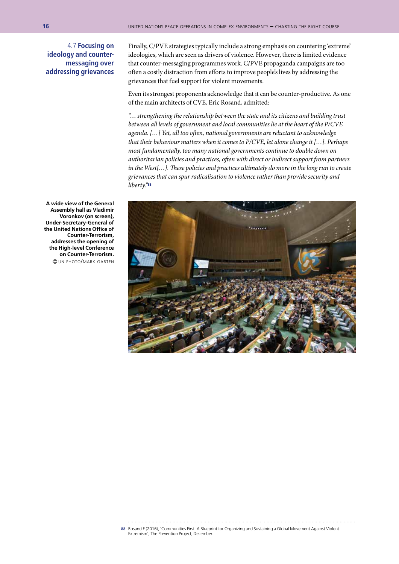4.7 **Focusing on ideology and countermessaging over addressing grievances** 

Finally, C/PVE strategies typically include a strong emphasis on countering 'extreme' ideologies, which are seen as drivers of violence. However, there is limited evidence that counter-messaging programmes work. C/PVE propaganda campaigns are too often a costly distraction from efforts to improve people's lives by addressing the grievances that fuel support for violent movements.

Even its strongest proponents acknowledge that it can be counter-productive. As one of the main architects of CVE, Eric Rosand, admitted:

*"… strengthening the relationship between the state and its citizens and building trust between all levels of government and local communities lie at the heart of the P/CVE agenda. […] Yet, all too often, national governments are reluctant to acknowledge that their behaviour matters when it comes to P/CVE, let alone change it […]. Perhaps most fundamentally, too many national governments continue to double down on authoritarian policies and practices, often with direct or indirect support from partners in the West[…]. These policies and practices ultimately do more in the long run to create grievances that can spur radicalisation to violence rather than provide security and liberty."*<sup>88</sup>



**A wide view of the General Assembly hall as Vladimir Voronkov (on screen), Under-Secretary-General of the United Nations Office of Counter-Terrorism, addresses the opening of the High-level Conference on Counter-Terrorism.** © un photo/mark garten

**88** Rosand E (2016), 'Communities First: A Blueprint for Organizing and Sustaining a Global Movement Against Violent Extremism', The Prevention Project, December.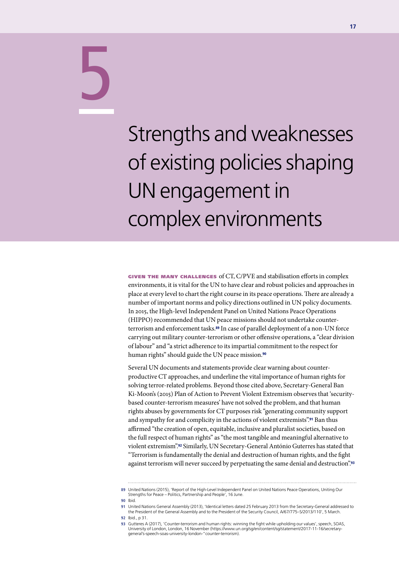# 5

Strengths and weaknesses of existing policies shaping UN engagement in complex environments

given the many challenges of CT, C/PVE and stabilisation efforts in complex environments, it is vital for the UN to have clear and robust policies and approaches in place at every level to chart the right course in its peace operations. There are already a number of important norms and policy directions outlined in UN policy documents. In 2015, the High-level Independent Panel on United Nations Peace Operations (HIPPO) recommended that UN peace missions should not undertake counterterrorism and enforcement tasks.89 In case of parallel deployment of a non-UN force carrying out military counter-terrorism or other offensive operations, a "clear division of labour" and "a strict adherence to its impartial commitment to the respect for human rights" should guide the UN peace mission.<sup>90</sup>

Several UN documents and statements provide clear warning about counterproductive CT approaches, and underline the vital importance of human rights for solving terror-related problems. Beyond those cited above, Secretary-General Ban Ki-Moon's (2015) Plan of Action to Prevent Violent Extremism observes that 'securitybased counter-terrorism measures' have not solved the problem, and that human rights abuses by governments for CT purposes risk "generating community support and sympathy for and complicity in the actions of violent extremists".<sup>91</sup> Ban thus affirmed "the creation of open, equitable, inclusive and pluralist societies, based on the full respect of human rights" as "the most tangible and meaningful alternative to violent extremism".92 Similarly, UN Secretary-General António Guterres has stated that "Terrorism is fundamentally the denial and destruction of human rights, and the fight against terrorism will never succeed by perpetuating the same denial and destruction".<sup>93</sup>

**<sup>89</sup>** United Nations (2015), 'Report of the High-Level Independent Panel on United Nations Peace Operations, Uniting Our Strengths for Peace – Politics, Partnership and People', 16 June.

**<sup>90</sup>** Ibid.

**<sup>91</sup>** United Nations General Assembly (2013), 'Identical letters dated 25 February 2013 from the Secretary-General addressed to the President of the General Assembly and to the President of the Security Council, A/67/775–S/2013/110', 5 March.

**<sup>92</sup>** Ibid., p 31.

**<sup>93</sup>** Gutteres A (2017), 'Counter-terrorism and human rights: winning the fight while upholding our values', speech, SOAS, University of London, London, 16 November (https://www.un.org/sg/en/content/sg/statement/2017-11-16/secretarygeneral's-speech-soas-university-london-"counter-terrorism).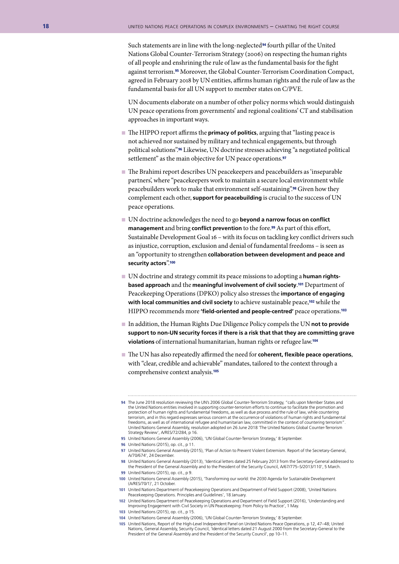Such statements are in line with the long-neglected<sup>94</sup> fourth pillar of the United Nations Global Counter-Terrorism Strategy (2006) on respecting the human rights of all people and enshrining the rule of law as the fundamental basis for the fight against terrorism.95 Moreover, the Global Counter-Terrorism Coordination Compact, agreed in February 2018 by UN entities, affirms human rights and the rule of law as the fundamental basis for all UN support to member states on C/PVE.

UN documents elaborate on a number of other policy norms which would distinguish UN peace operations from governments' and regional coalitions' CT and stabilisation approaches in important ways.

- The HIPPO report affirms the **primacy of politics**, arguing that "lasting peace is not achieved nor sustained by military and technical engagements, but through political solutions".96 Likewise, UN doctrine stresses achieving "a negotiated political settlement" as the main objective for UN peace operations.<sup>97</sup>
- n The Brahimi report describes UN peacekeepers and peacebuilders as 'inseparable partners', where "peacekeepers work to maintain a secure local environment while peacebuilders work to make that environment self-sustaining".98 Given how they complement each other, **support for peacebuilding** is crucial to the success of UN peace operations.
- UN doctrine acknowledges the need to go **beyond a narrow focus on conflict** management and bring conflict prevention to the fore.<sup>99</sup> As part of this effort, Sustainable Development Goal 16 – with its focus on tackling key conflict drivers such as injustice, corruption, exclusion and denial of fundamental freedoms – is seen as an "opportunity to strengthen **collaboration between development and peace and security actors**".<sup>100</sup>
- n UN doctrine and strategy commit its peace missions to adopting a **human rightsbased approach** and the **meaningful involvement of civil society**. <sup>101</sup> Department of Peacekeeping Operations (DPKO) policy also stresses the **importance of engaging**  with local communities and civil society to achieve sustainable peace,<sup>102</sup> while the HIPPO recommends more **'field-oriented and people-centred'** peace operations.<sup>103</sup>
- In addition, the Human Rights Due Diligence Policy compels the UN not to provide **support to non-UN security forces if there is a risk that that they are committing grave violations** of international humanitarian, human rights or refugee law.<sup>104</sup>
- n The UN has also repeatedly affirmed the need for **coherent, flexible peace operations**, with "clear, credible and achievable" mandates, tailored to the context through a comprehensive context analysis.<sup>105</sup>

**100** United Nations General Assembly (2015), 'Transforming our world: the 2030 Agenda for Sustainable Development (A/RES/70/1)', 21 October.

**<sup>94</sup>** The June 2018 resolution reviewing the UN's 2006 Global Counter-Terrorism Strategy, "calls upon Member States and the United Nations entities involved in supporting counter-terrorism efforts to continue to facilitate the promotion and protection of human rights and fundamental freedoms, as well as due process and the rule of law, while countering terrorism, and in this regard expresses serious concern at the occurrence of violations of human rights and fundamental freedoms, as well as of international refugee and humanitarian law, committed in the context of countering terrorism". United Nations General Assembly, resolution adopted on 26 June 2018 'The United Nations Global Counter-Terrorism Strategy Review', A/RES/72/284, p 16.

**<sup>95</sup>** United Nations General Assembly (2006), 'UN Global Counter-Terrorism Strategy,' 8 September.

**<sup>96</sup>** United Nations (2015), op. cit., p 11.

**<sup>97</sup>** United Nations General Assembly (2015), 'Plan of Action to Prevent Violent Extremism. Report of the Secretary-General, A/70/674', 24 December.

**<sup>98</sup>** United Nations General Assembly (2013), 'Identical letters dated 25 February 2013 from the Secretary-General addressed to the President of the General Assembly and to the President of the Security Council, A/67/775–S/2013/110', 5 March.

**<sup>99</sup>** United Nations (2015), op. cit., p 9.

**<sup>101</sup>** United Nations Department of Peacekeeping Operations and Department of Field Support (2008), 'United Nations Peacekeeping Operations. Principles and Guidelines', 18 January.

**<sup>102</sup>** United Nations Department of Peacekeeping Operations and Department of Field Support (2016), 'Understanding and Improving Engagement with Civil Society in UN Peacekeeping: From Policy to Practice', 1 May.

**<sup>103</sup>** United Nations (2015), op. cit., p 15.

**<sup>104</sup>** United Nations General Assembly (2006), 'UN Global Counter-Terrorism Strategy,' 8 September.

**<sup>105</sup>** United Nations, Report of the High-Level Independent Panel on United Nations Peace Operations, p 12, 47–48; United Nations, General Assembly, Security Council, 'Identical letters dated 21 August 2000 from the Secretary-General to the President of the General Assembly and the President of the Security Council', pp 10–11.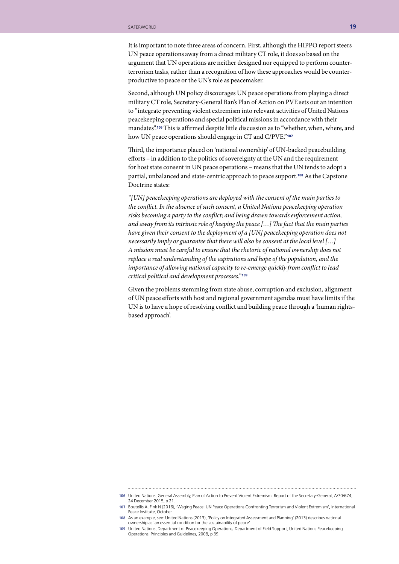It is important to note three areas of concern. First, although the HIPPO report steers UN peace operations away from a direct military CT role, it does so based on the argument that UN operations are neither designed nor equipped to perform counterterrorism tasks, rather than a recognition of how these approaches would be counterproductive to peace or the UN's role as peacemaker.

Second, although UN policy discourages UN peace operations from playing a direct military CT role, Secretary-General Ban's Plan of Action on PVE sets out an intention to "integrate preventing violent extremism into relevant activities of United Nations peacekeeping operations and special political missions in accordance with their mandates".106 This is affirmed despite little discussion as to "whether, when, where, and how UN peace operations should engage in CT and C/PVE."<sup>107</sup>

Third, the importance placed on 'national ownership' of UN-backed peacebuilding efforts – in addition to the politics of sovereignty at the UN and the requirement for host state consent in UN peace operations – means that the UN tends to adopt a partial, unbalanced and state-centric approach to peace support.108 As the Capstone Doctrine states:

*"[UN] peacekeeping operations are deployed with the consent of the main parties to the conflict. In the absence of such consent, a United Nations peacekeeping operation risks becoming a party to the conflict; and being drawn towards enforcement action, and away from its intrinsic role of keeping the peace […] The fact that the main parties have given their consent to the deployment of a [UN] peacekeeping operation does not necessarily imply or guarantee that there will also be consent at the local level […] A mission must be careful to ensure that the rhetoric of national ownership does not replace a real understanding of the aspirations and hope of the population, and the importance of allowing national capacity to re-emerge quickly from conflict to lead critical political and development processes."* <sup>109</sup>

Given the problems stemming from state abuse, corruption and exclusion, alignment of UN peace efforts with host and regional government agendas must have limits if the UN is to have a hope of resolving conflict and building peace through a 'human rightsbased approach'.

**<sup>106</sup>** United Nations, General Assembly, Plan of Action to Prevent Violent Extremism. Report of the Secretary-General, A/70/674, 24 December 2015, p 21.

**<sup>107</sup>** Boutellis A, Fink N (2016), 'Waging Peace: UN Peace Operations Confronting Terrorism and Violent Extremism', International Peace Institute, October.

**<sup>108</sup>** As an example, see: United Nations (2013), 'Policy on Integrated Assessment and Planning' (2013) describes national ownership as 'an essential condition for the sustainability of peace'.

**<sup>109</sup>** United Nations, Department of Peacekeeping Operations, Department of Field Support, United Nations Peacekeeping Operations. Principles and Guidelines, 2008, p 39.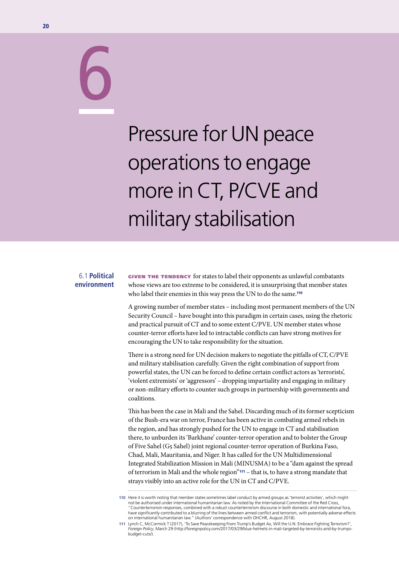# 6

# Pressure for UN peace operations to engage more in CT, P/CVE and military stabilisation

#### 6.1 **Political environment**

GIVEN THE TENDENCY for states to label their opponents as unlawful combatants whose views are too extreme to be considered, it is unsurprising that member states who label their enemies in this way press the UN to do the same.<sup>110</sup>

A growing number of member states – including most permanent members of the UN Security Council – have bought into this paradigm in certain cases, using the rhetoric and practical pursuit of CT and to some extent C/PVE. UN member states whose counter-terror efforts have led to intractable conflicts can have strong motives for encouraging the UN to take responsibility for the situation.

There is a strong need for UN decision makers to negotiate the pitfalls of CT, C/PVE and military stabilisation carefully. Given the right combination of support from powerful states, the UN can be forced to define certain conflict actors as 'terrorists', 'violent extremists' or 'aggressors' – dropping impartiality and engaging in military or non-military efforts to counter such groups in partnership with governments and coalitions.

This has been the case in Mali and the Sahel. Discarding much of its former scepticism of the Bush-era war on terror, France has been active in combating armed rebels in the region, and has strongly pushed for the UN to engage in CT and stabilisation there, to unburden its 'Barkhane' counter-terror operation and to bolster the Group of Five Sahel (G5 Sahel) joint regional counter-terror operation of Burkina Faso, Chad, Mali, Mauritania, and Niger. It has called for the UN Multidimensional Integrated Stabilization Mission in Mali (MINUSMA) to be a "dam against the spread of terrorism in Mali and the whole region"111 – that is, to have a strong mandate that strays visibly into an active role for the UN in CT and C/PVE.

**<sup>110</sup>** Here it is worth noting that member states sometimes label conduct by armed groups as 'terrorist activities', which might not be authorised under international humanitarian law. As noted by the International Committee of the Red Cross, "Counterterrorism responses, combined with a robust counterterrorism discourse in both domestic and international fora, have significantly contributed to a blurring of the lines between armed conflict and terrorism, with potentially adverse effects on international humanitarian law." (Authors' correspondence with OHCHR, August 2018).

**<sup>111</sup>** Lynch C, McCormick T (2017), 'To Save Peacekeeping From Trump's Budget Ax, Will the U.N. Embrace Fighting Terrorism?', *Foreign Policy*, March 29 (http://foreignpolicy.com/2017/03/29/blue-helmets-in-mali-targeted-by-terrorists-and-by-trumpsbudget-cuts/).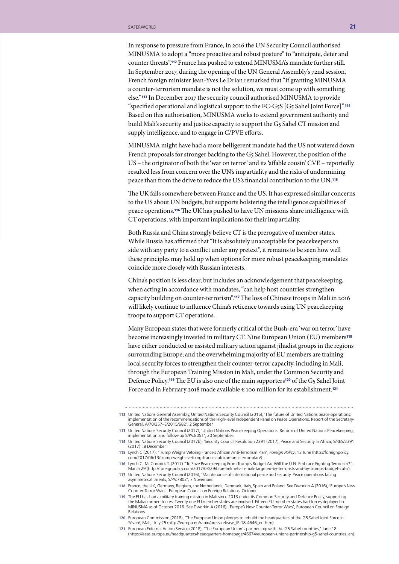In response to pressure from France, in 2016 the UN Security Council authorised MINUSMA to adopt a "more proactive and robust posture" to "anticipate, deter and counter threats".112 France has pushed to extend MINUSMA's mandate further still. In September 2017, during the opening of the UN General Assembly's 72nd session, French foreign minister Jean-Yves Le Drian remarked that "if granting MINUSMA a counter-terrorism mandate is not the solution, we must come up with something else."113 In December 2017 the security council authorised MINUSMA to provide "specified operational and logistical support to the FC-G5S [G5 Sahel Joint Force]".<sup>114</sup> Based on this authorisation, MINUSMA works to extend government authority and build Mali's security and justice capacity to support the G5 Sahel CT mission and supply intelligence, and to engage in C/PVE efforts.

MINUSMA might have had a more belligerent mandate had the US not watered down French proposals for stronger backing to the G5 Sahel. However, the position of the US – the originator of both the 'war on terror' and its 'affable cousin' CVE – reportedly resulted less from concern over the UN's impartiality and the risks of undermining peace than from the drive to reduce the US's financial contribution to the UN.<sup>115</sup>

The UK falls somewhere between France and the US. It has expressed similar concerns to the US about UN budgets, but supports bolstering the intelligence capabilities of peace operations.116 The UK has pushed to have UN missions share intelligence with CT operations, with important implications for their impartiality.

Both Russia and China strongly believe CT is the prerogative of member states. While Russia has affirmed that "It is absolutely unacceptable for peacekeepers to side with any party to a conflict under any pretext", it remains to be seen how well these principles may hold up when options for more robust peacekeeping mandates coincide more closely with Russian interests.

China's position is less clear, but includes an acknowledgement that peacekeeping, when acting in accordance with mandates, "can help host countries strengthen capacity building on counter-terrorism".117 The loss of Chinese troops in Mali in 2016 will likely continue to influence China's reticence towards using UN peacekeeping troops to support CT operations.

Many European states that were formerly critical of the Bush-era 'war on terror' have become increasingly invested in military CT. Nine European Union (EU) members<sup>118</sup> have either conducted or assisted military action against jihadist groups in the regions surrounding Europe; and the overwhelming majority of EU members are training local security forces to strengthen their counter-terror capacity, including in Mali, through the European Training Mission in Mali, under the Common Security and Defence Policy.119 The EU is also one of the main supporters120 of the G5 Sahel Joint Force and in February 2018 made available € 100 million for its establishment.<sup>121</sup>

**<sup>112</sup>** United Nations General Assembly, United Nations Security Council (2015), 'The future of United Nations peace operations: implementation of the recommendations of the High-level Independent Panel on Peace Operations. Report of the Secretary-General, A/70/357–S/2015/682', 2 September.

**<sup>113</sup>** United Nations Security Council (2017), 'United Nations Peacekeeping Operations: Reform of United Nations Peacekeeping, implementation and follow-up S/PV.8051', 20 September.

**<sup>114</sup>** United Nations Security Council (2017b), 'Security Council Resolution 2391 (2017), Peace and Security in Africa, S/RES/2391 (2017)', 8 December.

**<sup>115</sup>** Lynch C (2017), 'Trump Weighs Vetoing France's African Anti-Terrorism Plan', *Foreign Policy*, 13 June (http://foreignpolicy. com/2017/06/13/trump-weighs-vetoing-frances-african-anti-terror-plan/).

**<sup>116</sup>** Lynch C, McCormick T, (2017) "To Save Peacekeeping From Trump's Budget Ax, Will the U.N. Embrace Fighting Terrorism?", March 29 (http://foreignpolicy.com/2017/03/29/blue-helmets-in-mali-targeted-by-terrorists-and-by-trumps-budget-cuts/).

**<sup>117</sup>** United Nations Security Council (2016), 'Maintenance of international peace and security, Peace operations facing asymmetrical threats, S/PV.7802', 7 November.

**<sup>118</sup>** France, the UK, Germany, Belgium, the Netherlands, Denmark, Italy, Spain and Poland. See Dworkin A (2016), 'Europe's New Counter-Terror Wars', European Council on Foreign Relations, October.

**<sup>119</sup>** The EU has had a military training mission in Mali since 2013 under its Common Security and Defence Policy, supporting the Malian armed forces. Twenty one EU member states are involved. Fifteen EU member states had forces deployed in MINUSMA as of October 2016. See Dworkin A (2016), 'Europe's New Counter-Terror Wars', European Council on Foreign Relations.

**<sup>120</sup>** European Commission (2018), 'The European Union pledges to rebuild the headquarters of the G5 Sahel Joint Force in Sévaré, Mali,' July 25 (http://europa.eu/rapid/press-release\_IP-18-4646\_en.htm).

**<sup>121</sup>** European External Action Service (2018), 'The European Union's partnership with the G5 Sahel countries,' June 18 (https://eeas.europa.eu/headquarters/headquarters-homepage/46674/european-unions-partnership-g5-sahel-countries\_en).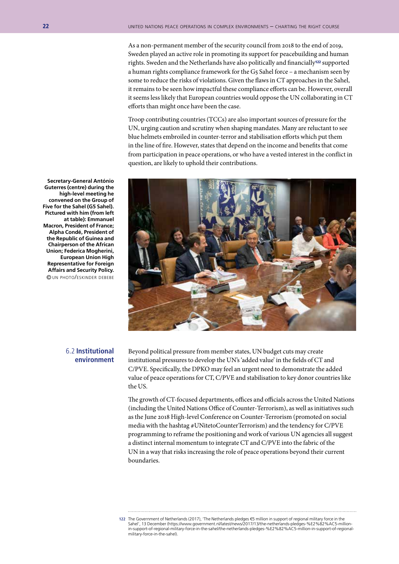As a non-permanent member of the security council from 2018 to the end of 2019, Sweden played an active role in promoting its support for peacebuilding and human rights. Sweden and the Netherlands have also politically and financially122 supported a human rights compliance framework for the G5 Sahel force – a mechanism seen by some to reduce the risks of violations. Given the flaws in CT approaches in the Sahel, it remains to be seen how impactful these compliance efforts can be. However, overall it seems less likely that European countries would oppose the UN collaborating in CT efforts than might once have been the case.

Troop contributing countries (TCCs) are also important sources of pressure for the UN, urging caution and scrutiny when shaping mandates. Many are reluctant to see blue helmets embroiled in counter-terror and stabilisation efforts which put them in the line of fire. However, states that depend on the income and benefits that come from participation in peace operations, or who have a vested interest in the conflict in question, are likely to uphold their contributions.



**Secretary-General António Guterres (centre) during the high-level meeting he convened on the Group of Five for the Sahel (G5 Sahel). Pictured with him (from left at table): Emmanuel Macron, President of France; Alpha Condé, President of the Republic of Guinea and Chairperson of the African Union; Federica Mogherini, European Union High Representative for Foreign Affairs and Security Policy.** © un photo/eskinder debebe

#### 6.2 **Institutional environment**

Beyond political pressure from member states, UN budget cuts may create institutional pressures to develop the UN's 'added value' in the fields of CT and C/PVE. Specifically, the DPKO may feel an urgent need to demonstrate the added value of peace operations for CT, C/PVE and stabilisation to key donor countries like the US.

The growth of CT-focused departments, offices and officials across the United Nations (including the United Nations Office of Counter-Terrorism), as well as initiatives such as the June 2018 High-level Conference on Counter-Terrorism (promoted on social media with the hashtag #UNitetoCounterTerrorism) and the tendency for C/PVE programming to reframe the positioning and work of various UN agencies all suggest a distinct internal momentum to integrate CT and C/PVE into the fabric of the UN in a way that risks increasing the role of peace operations beyond their current boundaries.

**<sup>122</sup>** The Government of Netherlands (2017), 'The Netherlands pledges €5 million in support of regional military force in the Sahel', 13 December (https://www.government.nl/latest/news/2017/13/the-netherlands-pledges-%E2%82%AC5-millionin-support-of-regional-military-force-in-the-sahel/the-netherlands-pledges-%E2%82%AC5-million-in-support-of-regionalmilitary-force-in-the-sahel).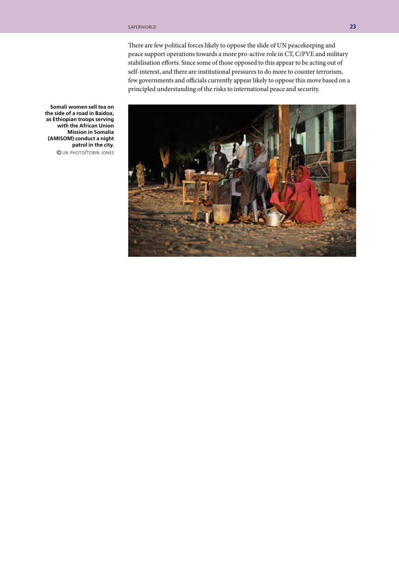There are few political forces likely to oppose the slide of UN peacekeeping and peace support operations towards a more pro-active role in CT, C/PVE and military stabilisation efforts. Since some of those opposed to this appear to be acting out of self-interest, and there are institutional pressures to do more to counter terrorism, few governments and officials currently appear likely to oppose this move based on a principled understanding of the risks to international peace and security.



**Somali women sell tea on the side of a road in Baidoa, as Ethiopian troops serving with the African Union Mission in Somalia (AMISOM) conduct a night patrol in the city.** © un photo/tobin jones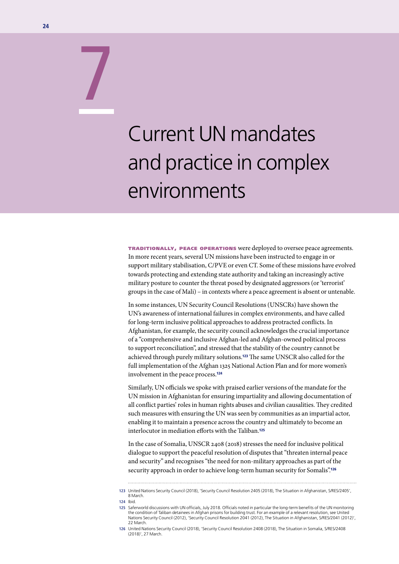# Current UN mandates and practice in complex environments

traditionally, peace operations were deployed to oversee peace agreements. In more recent years, several UN missions have been instructed to engage in or support military stabilisation, C/PVE or even CT. Some of these missions have evolved towards protecting and extending state authority and taking an increasingly active military posture to counter the threat posed by designated aggressors (or 'terrorist' groups in the case of Mali) – in contexts where a peace agreement is absent or untenable.

In some instances, UN Security Council Resolutions (UNSCRs) have shown the UN's awareness of international failures in complex environments, and have called for long-term inclusive political approaches to address protracted conflicts. In Afghanistan, for example, the security council acknowledges the crucial importance of a "comprehensive and inclusive Afghan-led and Afghan-owned political process to support reconciliation", and stressed that the stability of the country cannot be achieved through purely military solutions.123 The same UNSCR also called for the full implementation of the Afghan 1325 National Action Plan and for more women's involvement in the peace process.<sup>124</sup>

Similarly, UN officials we spoke with praised earlier versions of the mandate for the UN mission in Afghanistan for ensuring impartiality and allowing documentation of all conflict parties' roles in human rights abuses and civilian causalities. They credited such measures with ensuring the UN was seen by communities as an impartial actor, enabling it to maintain a presence across the country and ultimately to become an interlocutor in mediation efforts with the Taliban.<sup>125</sup>

In the case of Somalia, UNSCR 2408 (2018) stresses the need for inclusive political dialogue to support the peaceful resolution of disputes that "threaten internal peace and security" and recognises "the need for non-military approaches as part of the security approach in order to achieve long-term human security for Somalis".<sup>126</sup>

7

**<sup>123</sup>** United Nations Security Council (2018), 'Security Council Resolution 2405 (2018), The Situation in Afghanistan, S/RES/2405', 8 March.

**<sup>124</sup>** Ibid.

**<sup>125</sup>** Saferworld discussions with UN officials, July 2018. Officials noted in particular the long-term benefits of the UN monitoring the condition of Taliban detainees in Afghan prisons for building trust. For an example of a relevant resolution, see United Nations Security Council (2012), 'Security Council Resolution 2041 (2012), The Situation in Afghanistan, S/RES/2041 (2012)', 22 March.

**<sup>126</sup>** United Nations Security Council (2018), 'Security Council Resolution 2408 (2018), The Situation in Somalia, S/RES/2408 (2018)', 27 March.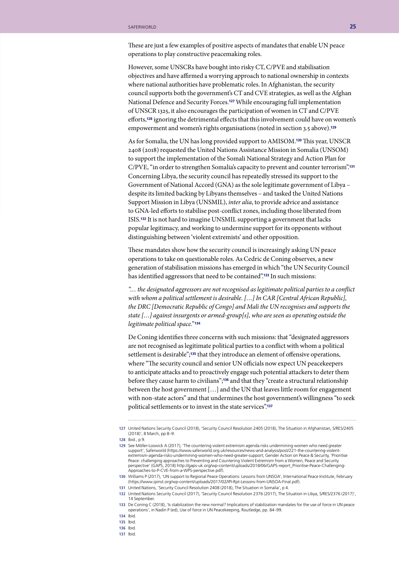These are just a few examples of positive aspects of mandates that enable UN peace operations to play constructive peacemaking roles.

However, some UNSCRs have bought into risky CT, C/PVE and stabilisation objectives and have affirmed a worrying approach to national ownership in contexts where national authorities have problematic roles. In Afghanistan, the security council supports both the government's CT and CVE strategies, as well as the Afghan National Defence and Security Forces.127 While encouraging full implementation of UNSCR 1325, it also encourages the participation of women in CT and C/PVE efforts,128 ignoring the detrimental effects that this involvement could have on women's empowerment and women's rights organisations (noted in section 3.5 above).<sup>129</sup>

As for Somalia, the UN has long provided support to AMISOM.130 This year, UNSCR 2408 (2018) requested the United Nations Assistance Mission in Somalia (UNSOM) to support the implementation of the Somali National Strategy and Action Plan for C/PVE, "in order to strengthen Somalia's capacity to prevent and counter terrorism".<sup>131</sup> Concerning Libya, the security council has repeatedly stressed its support to the Government of National Accord (GNA) as the sole legitimate government of Libya – despite its limited backing by Libyans themselves – and tasked the United Nations Support Mission in Libya (UNSMIL), *inter alia*, to provide advice and assistance to GNA-led efforts to stabilise post-conflict zones, including those liberated from ISIS.132 It is not hard to imagine UNSMIL supporting a government that lacks popular legitimacy, and working to undermine support for its opponents without distinguishing between 'violent extremists' and other opposition.

These mandates show how the security council is increasingly asking UN peace operations to take on questionable roles. As Cedric de Coning observes, a new generation of stabilisation missions has emerged in which "the UN Security Council has identified aggressors that need to be contained".<sup>133</sup> In such missions:

*"… the designated aggressors are not recognised as legitimate political parties to a conflict with whom a political settlement is desirable. […] In CAR [Central African Republic], the DRC [Democratic Republic of Congo] and Mali the UN recognises and supports the state […] against insurgents or armed-group[s], who are seen as operating outside the legitimate political space."* <sup>134</sup>

De Coning identifies three concerns with such missions: that "designated aggressors are not recognised as legitimate political parties to a conflict with whom a political settlement is desirable";<sup>135</sup> that they introduce an element of offensive operations, where "The security council and senior UN officials now expect UN peacekeepers to anticipate attacks and to proactively engage such potential attackers to deter them before they cause harm to civilians";136 and that they "create a structural relationship between the host government […] and the UN that leaves little room for engagement with non-state actors" and that undermines the host government's willingness "to seek political settlements or to invest in the state services".<sup>137</sup>

**131** United Nations, 'Security Council Resolution 2408 (2018), The Situation in Somalia', p 4.

**137** Ibid.

**<sup>127</sup>** United Nations Security Council (2018), 'Security Council Resolution 2405 (2018), The Situation in Afghanistan, S/RES/2405 (2018)', 8 March, pp 8–9.

**<sup>128</sup>** Ibid., p 9.

**<sup>129</sup>** See Möller-Loswick A (2017), 'The countering violent extremism agenda risks undermining women who need greater support', Saferworld (https://www.saferworld.org.uk/resources/news-and-analysis/post/221-the-countering-violentextremism-agenda-risks-undermining-women-who-need-greater-support; Gender Action on Peace & Security, 'Prioritise Peace: challenging approaches to Preventing and Countering Violent Extremism from a Women, Peace and Security perspective' (GAPS, 2018) http://gaps-uk.org/wp-content/uploads/2018/06/GAPS-report\_Prioritise-Peace-Challenging-Approaches-to-P-CVE-from-a-WPS-perspective.pdf).

**<sup>130</sup>** Williams P (2017), 'UN support to Regional Peace Operations: Lessons from UNSOA', International Peace Institute, February (https://www.ipinst.org/wp-content/uploads/2017/02/IPI-Rpt-Lessons-from-UNSOA-Final.pdf).

**<sup>132</sup>** United Nations Security Council (2017), 'Security Council Resolution 2376 (2017), The Situation in Libya, S/RES/2376 (2017)', 14 September

**<sup>133</sup>** De Coning C (2018), 'Is stabilization the new normal? Implications of stabilization mandates for the use of force in UN peace operations', in Nadin P (ed), Use of force in UN Peacekeeping, Routledge, pp. 84–99.

**<sup>134</sup>** Ibid.

**<sup>135</sup>** Ibid.

**<sup>136</sup>** Ibid.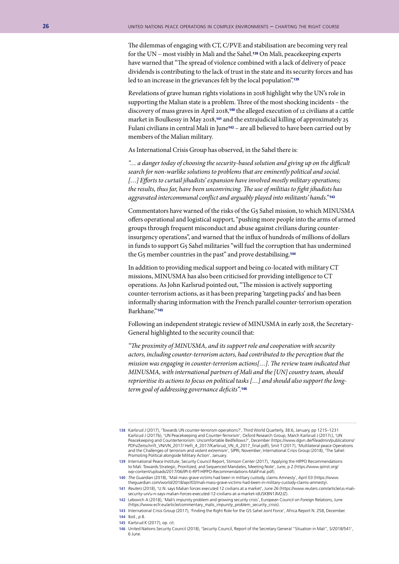The dilemmas of engaging with CT, C/PVE and stabilisation are becoming very real for the UN – most visibly in Mali and the Sahel.138 On Mali, peacekeeping experts have warned that "The spread of violence combined with a lack of delivery of peace dividends is contributing to the lack of trust in the state and its security forces and has led to an increase in the grievances felt by the local population".<sup>139</sup>

Revelations of grave human rights violations in 2018 highlight why the UN's role in supporting the Malian state is a problem. Three of the most shocking incidents – the discovery of mass graves in April 2018,140 the alleged execution of 12 civilians at a cattle market in Boulkessy in May 2018,141 and the extrajudicial killing of approximately 25 Fulani civilians in central Mali in June<sup>142</sup> – are all believed to have been carried out by members of the Malian military.

As International Crisis Group has observed, in the Sahel there is:

*"… a danger today of choosing the security-based solution and giving up on the difficult search for non-warlike solutions to problems that are eminently political and social. […] Efforts to curtail jihadists' expansion have involved mostly military operations; the results, thus far, have been unconvincing. The use of militias to fight jihadists has aggravated intercommunal conflict and arguably played into militants' hands."* <sup>143</sup>

Commentators have warned of the risks of the G5 Sahel mission, to which MINUSMA offers operational and logistical support, "pushing more people into the arms of armed groups through frequent misconduct and abuse against civilians during counterinsurgency operations", and warned that the influx of hundreds of millions of dollars in funds to support G5 Sahel militaries "will fuel the corruption that has undermined the G<sub>5</sub> member countries in the past" and prove destabilising.<sup>144</sup>

In addition to providing medical support and being co-located with military CT missions, MINUSMA has also been criticised for providing intelligence to CT operations. As John Karlsrud pointed out, "The mission is actively supporting counter-terrorism actions, as it has been preparing 'targeting packs' and has been informally sharing information with the French parallel counter-terrorism operation Barkhane."145

Following an independent strategic review of MINUSMA in early 2018, the Secretary-General highlighted to the security council that:

*"The proximity of MINUSMA, and its support role and cooperation with security actors, including counter-terrorism actors, had contributed to the perception that the mission was engaging in counter-terrorism actions[…]. The review team indicated that MINUSMA, with international partners of Mali and the [UN] country team, should reprioritise its actions to focus on political tasks […] and should also support the longterm goal of addressing governance deficits".*<sup>146</sup>

- **139** International Peace Institute, Security Council Report, Stimson Center (2017), 'Applying the HIPPO Recommendations to Mali: Towards Strategic, Prioritized, and Sequenced Mandates, Meeting Note', June, p 2 (https://www.ipinst.org/ wp-content/uploads/2017/06/IPI-E-RPT-HIPPO-Recommendations-MaliFinal.pdf).
- **140** *The Guardian* (2018), 'Mali mass grave victims had been in military custody, claims Amnesty', April 03 (https://www. theguardian.com/world/2018/apr/03/mali-mass-grave-victims-had-been-in-military-custody-claims-amnesty).
- **141** *Reuters* (2018), 'U.N. says Malian forces executed 12 civilians at a market', June 26 (https://www.reuters.com/article/us-malisecurity-un/u-n-says-malian-forces-executed-12-civilians-at-a-market-idUSKBN1JM2JZ).
- **142** Lebovich A (2018), 'Mali's impunity problem and growing security crisis', European Council on Foreign Relations, June (https://www.ecfr.eu/article/commentary\_malis\_impunity\_problem\_security\_crisis).
- **143** International Crisis Group (2017), 'Finding the Right Role for the G5 Sahel Joint Force', Africa Report N. 258, December. **144** Ibid., p 8.
- **145** Karlsrud K (2017), op. cit.
- **146** United Nations Security Council (2018), 'Security Council, Report of the Secretary General "Situation in Mali", S/2018/541', 6 June.

**<sup>138</sup>** Karlsrud J (2017), 'Towards UN counter-terrorism operations?', Third World Quarterly, 38:6, January, pp 1215–1231 Karlsrud J (2017b), 'UN Peacekeeping and Counter-Terrorism', Oxford Research Group, March Karlsrud J (2017c), 'UN Peacekeeping and Counterterrorism: Uncomfortable Bedfellows?', December (https://www.dgvn.de/fileadmin/publications/ PDFs/Zeitschrift\_VN/VN\_2017/ Heft\_4\_2017/Karlsrud\_VN\_4\_2017\_final.pdf); Smit T (2017), 'Multilateral peace Operations and the Challenges of terrorism and violent extremism', SIPRI, November; International Crisis Group (2018), 'The Sahel: Promoting Political alongside Military Action', January.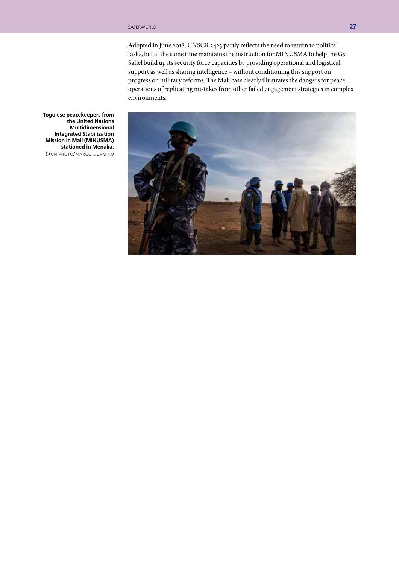Adopted in June 2018, UNSCR 2423 partly reflects the need to return to political tasks, but at the same time maintains the instruction for MINUSMA to help the G5 Sahel build up its security force capacities by providing operational and logistical support as well as sharing intelligence – without conditioning this support on progress on military reforms. The Mali case clearly illustrates the dangers for peace operations of replicating mistakes from other failed engagement strategies in complex environments.

**Togolese peacekeepers from the United Nations Multidimensional Integrated Stabilization Mission in Mali (MINUSMA) stationed in Menaka.** © un photo/marco dormino

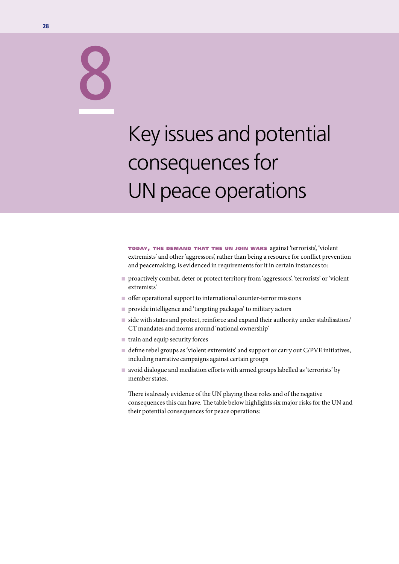# Key issues and potential consequences for UN peace operations

today, the demand that the un join wars against 'terrorists', 'violent extremists' and other 'aggressors', rather than being a resource for conflict prevention and peacemaking, is evidenced in requirements for it in certain instances to:

- n proactively combat, deter or protect territory from 'aggressors', 'terrorists' or 'violent extremists'
- $\blacksquare$  offer operational support to international counter-terror missions
- n provide intelligence and 'targeting packages' to military actors
- $\blacksquare$  side with states and protect, reinforce and expand their authority under stabilisation/ CT mandates and norms around 'national ownership'
- $\blacksquare$  train and equip security forces
- define rebel groups as 'violent extremists' and support or carry out C/PVE initiatives, including narrative campaigns against certain groups
- avoid dialogue and mediation efforts with armed groups labelled as 'terrorists' by member states.

There is already evidence of the UN playing these roles and of the negative consequences this can have. The table below highlights six major risks for the UN and their potential consequences for peace operations:

8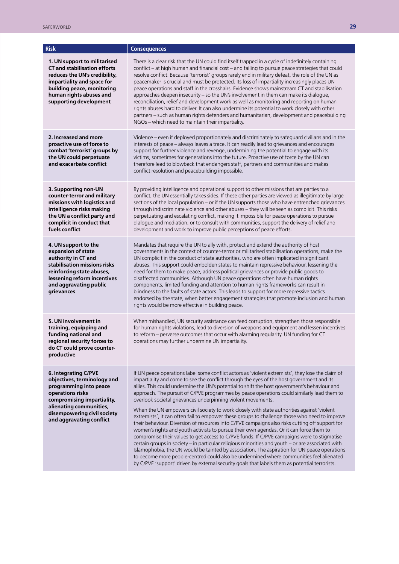| <b>Risk</b>                                                                                                                                                                                                           | <b>Consequences</b>                                                                                                                                                                                                                                                                                                                                                                                                                                                                                                                                                                                                                                                                                                                                                                                                                                                                                                                                                                                                                                                                                                                                                                                                                                                                                                                                        |
|-----------------------------------------------------------------------------------------------------------------------------------------------------------------------------------------------------------------------|------------------------------------------------------------------------------------------------------------------------------------------------------------------------------------------------------------------------------------------------------------------------------------------------------------------------------------------------------------------------------------------------------------------------------------------------------------------------------------------------------------------------------------------------------------------------------------------------------------------------------------------------------------------------------------------------------------------------------------------------------------------------------------------------------------------------------------------------------------------------------------------------------------------------------------------------------------------------------------------------------------------------------------------------------------------------------------------------------------------------------------------------------------------------------------------------------------------------------------------------------------------------------------------------------------------------------------------------------------|
| 1. UN support to militarised<br><b>CT and stabilisation efforts</b><br>reduces the UN's credibility,<br>impartiality and space for<br>building peace, monitoring<br>human rights abuses and<br>supporting development | There is a clear risk that the UN could find itself trapped in a cycle of indefinitely containing<br>conflict - at high human and financial cost - and failing to pursue peace strategies that could<br>resolve conflict. Because 'terrorist' groups rarely end in military defeat, the role of the UN as<br>peacemaker is crucial and must be protected. Its loss of impartiality increasingly places UN<br>peace operations and staff in the crosshairs. Evidence shows mainstream CT and stabilisation<br>approaches deepen insecurity - so the UN's involvement in them can make its dialogue,<br>reconciliation, relief and development work as well as monitoring and reporting on human<br>rights abuses hard to deliver. It can also undermine its potential to work closely with other<br>partners - such as human rights defenders and humanitarian, development and peacebuilding<br>NGOs - which need to maintain their impartiality.                                                                                                                                                                                                                                                                                                                                                                                                          |
| 2. Increased and more<br>proactive use of force to<br>combat 'terrorist' groups by<br>the UN could perpetuate<br>and exacerbate conflict                                                                              | Violence - even if deployed proportionately and discriminately to safeguard civilians and in the<br>interests of peace - always leaves a trace. It can readily lead to grievances and encourages<br>support for further violence and revenge, undermining the potential to engage with its<br>victims, sometimes for generations into the future. Proactive use of force by the UN can<br>therefore lead to blowback that endangers staff, partners and communities and makes<br>conflict resolution and peacebuilding impossible.                                                                                                                                                                                                                                                                                                                                                                                                                                                                                                                                                                                                                                                                                                                                                                                                                         |
| 3. Supporting non-UN<br>counter-terror and military<br>missions with logistics and<br>intelligence risks making<br>the UN a conflict party and<br>complicit in conduct that<br>fuels conflict                         | By providing intelligence and operational support to other missions that are parties to a<br>conflict, the UN essentially takes sides. If these other parties are viewed as illegitimate by large<br>sections of the local population - or if the UN supports those who have entrenched grievances<br>through indiscriminate violence and other abuses - they will be seen as complicit. This risks<br>perpetuating and escalating conflict, making it impossible for peace operations to pursue<br>dialogue and mediation, or to consult with communities, support the delivery of relief and<br>development and work to improve public perceptions of peace efforts.                                                                                                                                                                                                                                                                                                                                                                                                                                                                                                                                                                                                                                                                                     |
| 4. UN support to the<br>expansion of state<br>authority in CT and<br>stabilisation missions risks<br>reinforcing state abuses,<br>lessening reform incentives<br>and aggravating public<br>grievances                 | Mandates that require the UN to ally with, protect and extend the authority of host<br>governments in the context of counter-terror or militarised stabilisation operations, make the<br>UN complicit in the conduct of state authorities, who are often implicated in significant<br>abuses. This support could embolden states to maintain repressive behaviour, lessening the<br>need for them to make peace, address political grievances or provide public goods to<br>disaffected communities. Although UN peace operations often have human rights<br>components, limited funding and attention to human rights frameworks can result in<br>blindness to the faults of state actors. This leads to support for more repressive tactics<br>endorsed by the state, when better engagement strategies that promote inclusion and human<br>rights would be more effective in building peace.                                                                                                                                                                                                                                                                                                                                                                                                                                                            |
| 5. UN involvement in<br>training, equipping and<br>funding national and<br>regional security forces to<br>do CT could prove counter-<br>productive                                                                    | When mishandled, UN security assistance can feed corruption, strengthen those responsible<br>for human rights violations, lead to diversion of weapons and equipment and lessen incentives<br>to reform - perverse outcomes that occur with alarming regularity. UN funding for CT<br>operations may further undermine UN impartiality.                                                                                                                                                                                                                                                                                                                                                                                                                                                                                                                                                                                                                                                                                                                                                                                                                                                                                                                                                                                                                    |
| 6. Integrating C/PVE<br>objectives, terminology and<br>programming into peace<br>operations risks<br>compromising impartiality,<br>alienating communities,<br>disempowering civil society<br>and aggravating conflict | If UN peace operations label some conflict actors as 'violent extremists', they lose the claim of<br>impartiality and come to see the conflict through the eyes of the host government and its<br>allies. This could undermine the UN's potential to shift the host government's behaviour and<br>approach. The pursuit of C/PVE programmes by peace operations could similarly lead them to<br>overlook societal grievances underpinning violent movements.<br>When the UN empowers civil society to work closely with state authorities against 'violent<br>extremists', it can often fail to empower these groups to challenge those who need to improve<br>their behaviour. Diversion of resources into C/PVE campaigns also risks cutting off support for<br>women's rights and youth activists to pursue their own agendas. Or it can force them to<br>compromise their values to get access to C/PVE funds. If C/PVE campaigns were to stigmatise<br>certain groups in society - in particular religious minorities and youth - or are associated with<br>Islamophobia, the UN would be tainted by association. The aspiration for UN peace operations<br>to become more people-centred could also be undermined where communities feel alienated<br>by C/PVE 'support' driven by external security goals that labels them as potential terrorists. |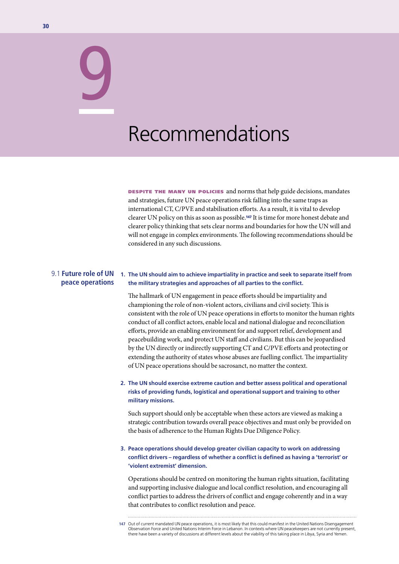## Recommendations

DESPITE THE MANY UN POLICIES and norms that help guide decisions, mandates and strategies, future UN peace operations risk falling into the same traps as international CT, C/PVE and stabilisation efforts. As a result, it is vital to develop clearer UN policy on this as soon as possible.147 It is time for more honest debate and clearer policy thinking that sets clear norms and boundaries for how the UN will and will not engage in complex environments. The following recommendations should be considered in any such discussions.

#### 9.1 **Future role of UN peace operations**

9

#### **1. The UN should aim to achieve impartiality in practice and seek to separate itself from the military strategies and approaches of all parties to the conflict.**

The hallmark of UN engagement in peace efforts should be impartiality and championing the role of non-violent actors, civilians and civil society. This is consistent with the role of UN peace operations in efforts to monitor the human rights conduct of all conflict actors, enable local and national dialogue and reconciliation efforts, provide an enabling environment for and support relief, development and peacebuilding work, and protect UN staff and civilians. But this can be jeopardised by the UN directly or indirectly supporting CT and C/PVE efforts and protecting or extending the authority of states whose abuses are fuelling conflict. The impartiality of UN peace operations should be sacrosanct, no matter the context.

#### **2. The UN should exercise extreme caution and better assess political and operational risks of providing funds, logistical and operational support and training to other military missions.**

Such support should only be acceptable when these actors are viewed as making a strategic contribution towards overall peace objectives and must only be provided on the basis of adherence to the Human Rights Due Diligence Policy.

#### **3. Peace operations should develop greater civilian capacity to work on addressing conflict drivers – regardless of whether a conflict is defined as having a 'terrorist' or 'violent extremist' dimension.**

Operations should be centred on monitoring the human rights situation, facilitating and supporting inclusive dialogue and local conflict resolution, and encouraging all conflict parties to address the drivers of conflict and engage coherently and in a way that contributes to conflict resolution and peace.

**147** Out of current mandated UN peace operations, it is most likely that this could manifest in the United Nations Disengagement Observation Force and United Nations Interim Force in Lebanon. In contexts where UN peacekeepers are not currently present, there have been a variety of discussions at different levels about the viability of this taking place in Libya, Syria and Yemen.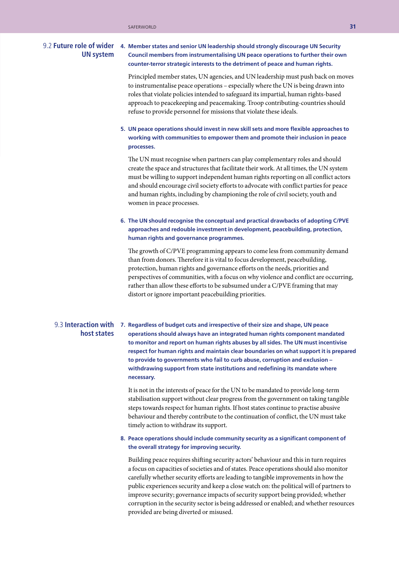### **UN system**

#### **4. Member states and senior UN leadership should strongly discourage UN Security**  9.2 **Future role of wider Council members from instrumentalising UN peace operations to further their own counter-terror strategic interests to the detriment of peace and human rights.**

Principled member states, UN agencies, and UN leadership must push back on moves to instrumentalise peace operations – especially where the UN is being drawn into roles that violate policies intended to safeguard its impartial, human rights-based approach to peacekeeping and peacemaking. Troop contributing-countries should refuse to provide personnel for missions that violate these ideals.

#### **5. UN peace operations should invest in new skill sets and more flexible approaches to working with communities to empower them and promote their inclusion in peace processes.**

The UN must recognise when partners can play complementary roles and should create the space and structures that facilitate their work. At all times, the UN system must be willing to support independent human rights reporting on all conflict actors and should encourage civil society efforts to advocate with conflict parties for peace and human rights, including by championing the role of civil society, youth and women in peace processes.

#### **6. The UN should recognise the conceptual and practical drawbacks of adopting C/PVE approaches and redouble investment in development, peacebuilding, protection, human rights and governance programmes.**

The growth of C/PVE programming appears to come less from community demand than from donors. Therefore it is vital to focus development, peacebuilding, protection, human rights and governance efforts on the needs, priorities and perspectives of communities, with a focus on why violence and conflict are occurring, rather than allow these efforts to be subsumed under a C/PVE framing that may distort or ignore important peacebuilding priorities.

### **host states**

**7. Regardless of budget cuts and irrespective of their size and shape, UN peace**  9.3 **Interaction with operations should always have an integrated human rights component mandated to monitor and report on human rights abuses by all sides. The UN must incentivise respect for human rights and maintain clear boundaries on what support it is prepared to provide to governments who fail to curb abuse, corruption and exclusion – withdrawing support from state institutions and redefining its mandate where necessary.**

> It is not in the interests of peace for the UN to be mandated to provide long-term stabilisation support without clear progress from the government on taking tangible steps towards respect for human rights. If host states continue to practise abusive behaviour and thereby contribute to the continuation of conflict, the UN must take timely action to withdraw its support.

#### **8. Peace operations should include community security as a significant component of the overall strategy for improving security.**

Building peace requires shifting security actors' behaviour and this in turn requires a focus on capacities of societies and of states. Peace operations should also monitor carefully whether security efforts are leading to tangible improvements in how the public experiences security and keep a close watch on: the political will of partners to improve security; governance impacts of security support being provided; whether corruption in the security sector is being addressed or enabled; and whether resources provided are being diverted or misused.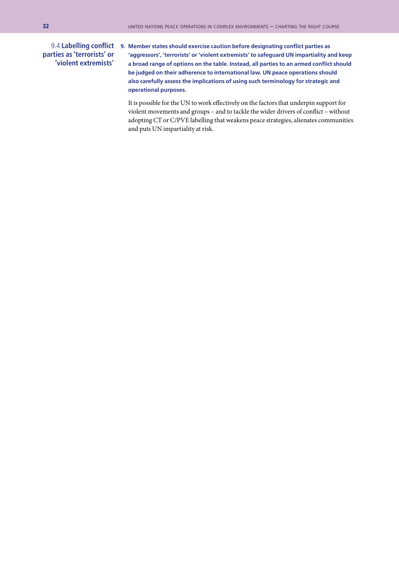#### **parties as 'terrorists' or 'violent extremists'**

**9. Member states should exercise caution before designating conflict parties as**  9.4 **Labelling conflict 'aggressors', 'terrorists' or 'violent extremists' to safeguard UN impartiality and keep a broad range of options on the table. Instead, all parties to an armed conflict should be judged on their adherence to international law. UN peace operations should also carefully assess the implications of using such terminology for strategic and operational purposes.** 

> It is possible for the UN to work effectively on the factors that underpin support for violent movements and groups – and to tackle the wider drivers of conflict – without adopting CT or C/PVE labelling that weakens peace strategies, alienates communities and puts UN impartiality at risk.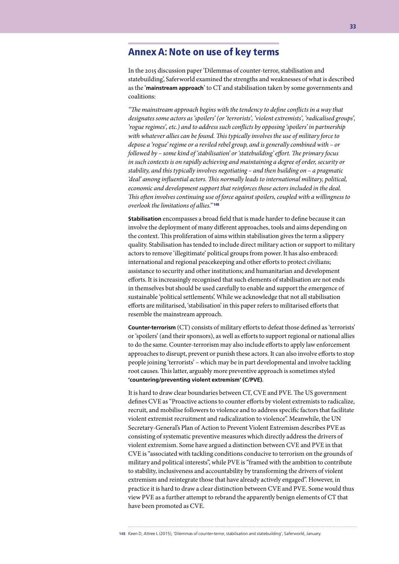#### Annex A: Note on use of key terms

In the 2015 discussion paper 'Dilemmas of counter-terror, stabilisation and statebuilding', Saferworld examined the strengths and weaknesses of what is described as the '**mainstream approach**' to CT and stabilisation taken by some governments and coalitions:

*"The mainstream approach begins with the tendency to define conflicts in a way that designates some actors as 'spoilers' (or 'terrorists', 'violent extremists', 'radicalised groups', 'rogue regimes', etc.) and to address such conflicts by opposing 'spoilers' in partnership with whatever allies can be found. This typically involves the use of military force to depose a 'rogue' regime or a reviled rebel group, and is generally combined with – or followed by – some kind of 'stabilisation' or 'statebuilding' effort. The primary focus in such contexts is on rapidly achieving and maintaining a degree of order, security or stability, and this typically involves negotiating – and then building on – a pragmatic 'deal' among influential actors. This normally leads to international military, political, economic and development support that reinforces those actors included in the deal. This often involves continuing use of force against spoilers, coupled with a willingness to overlook the limitations of allies."* <sup>148</sup>

**Stabilisation** encompasses a broad field that is made harder to define because it can involve the deployment of many different approaches, tools and aims depending on the context. This proliferation of aims within stabilisation gives the term a slippery quality. Stabilisation has tended to include direct military action or support to military actors to remove 'illegitimate' political groups from power. It has also embraced: international and regional peacekeeping and other efforts to protect civilians; assistance to security and other institutions; and humanitarian and development efforts. It is increasingly recognised that such elements of stabilisation are not ends in themselves but should be used carefully to enable and support the emergence of sustainable 'political settlements'. While we acknowledge that not all stabilisation efforts are militarised, 'stabilisation' in this paper refers to militarised efforts that resemble the mainstream approach.

**Counter-terrorism** (CT) consists of military efforts to defeat those defined as 'terrorists' or 'spoilers' (and their sponsors), as well as efforts to support regional or national allies to do the same. Counter-terrorism may also include efforts to apply law enforcement approaches to disrupt, prevent or punish these actors. It can also involve efforts to stop people joining 'terrorists' – which may be in part developmental and involve tackling root causes. This latter, arguably more preventive approach is sometimes styled **'countering/preventing violent extremism' (C/PVE)**.

It is hard to draw clear boundaries between CT, CVE and PVE. The US government defines CVE as "Proactive actions to counter efforts by violent extremists to radicalize, recruit, and mobilise followers to violence and to address specific factors that facilitate violent extremist recruitment and radicalization to violence". Meanwhile, the UN Secretary-General's Plan of Action to Prevent Violent Extremism describes PVE as consisting of systematic preventive measures which directly address the drivers of violent extremism. Some have argued a distinction between CVE and PVE in that CVE is "associated with tackling conditions conducive to terrorism on the grounds of military and political interests", while PVE is "framed with the ambition to contribute to stability, inclusiveness and accountability by transforming the drivers of violent extremism and reintegrate those that have already actively engaged". However, in practice it is hard to draw a clear distinction between CVE and PVE. Some would thus view PVE as a further attempt to rebrand the apparently benign elements of CT that have been promoted as CVE.

**<sup>148</sup>** Keen D, Attree L (2015), 'Dilemmas of counter-terror, stabilisation and statebuilding', Saferworld, January.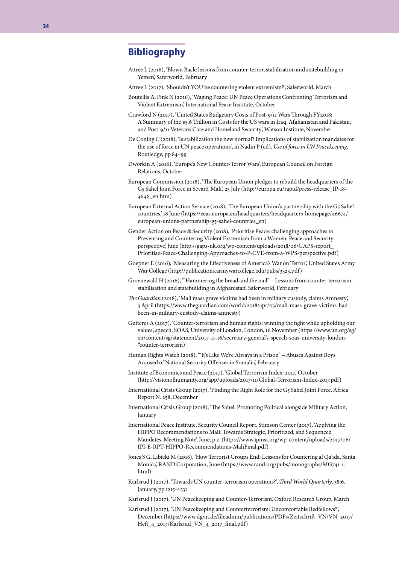#### Bibliography

- Attree L (2016), 'Blown Back: lessons from counter-terror, stabilisation and statebuilding in Yemen', Saferworld, February
- Attree L (2017), 'Shouldn't YOU be countering violent extremism?', Saferworld, March
- Boutellis A, Fink N (2016), 'Waging Peace: UN Peace Operations Confronting Terrorism and Violent Extremism', International Peace Institute, October
- Crawford N (2017), 'United States Budgetary Costs of Post-9/11 Wars Through FY2018: A Summary of the \$5.6 Trillion in Costs for the US wars in Iraq, Afghanistan and Pakistan, and Post-9/11 Veterans Care and Homeland Security', Watson Institute, November
- De Coning C (2018), 'Is stabilization the new normal? Implications of stabilization mandates for the use of force in UN peace operations', in Nadin P (ed), *Use of force in UN Peacekeeping,* Routledge, pp 84–99
- Dworkin A (2016), 'Europe's New Counter-Terror Wars', European Council on Foreign Relations, October
- European Commission (2018), 'The European Union pledges to rebuild the headquarters of the G5 Sahel Joint Force in Sévaré, Mali,' 25 July (http://europa.eu/rapid/press-release\_IP-18- 4646\_en.htm)
- European External Action Service (2018), 'The European Union's partnership with the G5 Sahel countries,' 18 June (https://eeas.europa.eu/headquarters/headquarters-homepage/46674/ european-unions-partnership-g5-sahel-countries\_en)
- Gender Action on Peace & Security (2018), 'Prioritise Peace: challenging approaches to Preventing and Countering Violent Extremism from a Women, Peace and Security perspective', June (http://gaps-uk.org/wp-content/uploads/2018/06/GAPS-report\_ Prioritise-Peace-Challenging-Approaches-to-P-CVE-from-a-WPS-perspective.pdf)
- Goepner E (2016), 'Measuring the Effectiveness of America's War on Terror', United States Army War College (http://publications.armywarcollege.edu/pubs/3323.pdf)
- Groenewald H (2016), '"Hammering the bread and the nail" Lessons from counter-terrorism, stabilisation and statebuilding in Afghanistan', Saferworld, February
- *The Guardian* (2018), 'Mali mass grave victims had been in military custody, claims Amnesty', 3 April (https://www.theguardian.com/world/2018/apr/03/mali-mass-grave-victims-hadbeen-in-military-custody-claims-amnesty)
- Gutteres A (2017), 'Counter-terrorism and human rights: winning the fight while upholding our values', speech, SOAS, University of London, London, 16 November (https://www.un.org/sg/ en/content/sg/statement/2017-11-16/secretary-general's-speech-soas-university-london- "counter-terrorism)
- Human Rights Watch (2018), ""It's Like We're Always in a Prison" Abuses Against Boys Accused of National Security Offenses in Somalia', February
- Institute of Economics and Peace (2017), 'Global Terrorism Index: 2017,' October (http://visionofhumanity.org/app/uploads/2017/11/Global-Terrorism-Index-2017.pdf)
- International Crisis Group (2017), 'Finding the Right Role for the G5 Sahel Joint Force', Africa Report N. 258, December
- International Crisis Group (2018), 'The Sahel: Promoting Political alongside Military Action', January
- International Peace Institute, Security Council Report, Stimson Center (2017), 'Applying the HIPPO Recommendations to Mali: Towards Strategic, Prioritized, and Sequenced Mandates, Meeting Note', June, p 2. (https://www.ipinst.org/wp-content/uploads/2017/06/ IPI-E-RPT-HIPPO-Recommendations-MaliFinal.pdf)
- Jones S G, Libicki M (2018), 'How Terrorist Groups End: Lessons for Countering al Qa'ida. Santa Monica', RAND Corporation, June (https://www.rand.org/pubs/monographs/MG741-1. html)
- Karlsrud J (2017), 'Towards UN counter-terrorism operations?', *Third World Quarterly*, 38:6, January, pp 1215–1231
- Karlsrud J (2017), 'UN Peacekeeping and Counter-Terrorism', Oxford Research Group, March
- Karlsrud J (2017), 'UN Peacekeeping and Counterterrorism: Uncomfortable Bedfellows?', December (https://www.dgvn.de/fileadmin/publications/PDFs/Zeitschrift\_VN/VN\_2017/ Heft\_4\_2017/Karlsrud\_VN\_4\_2017\_final.pdf)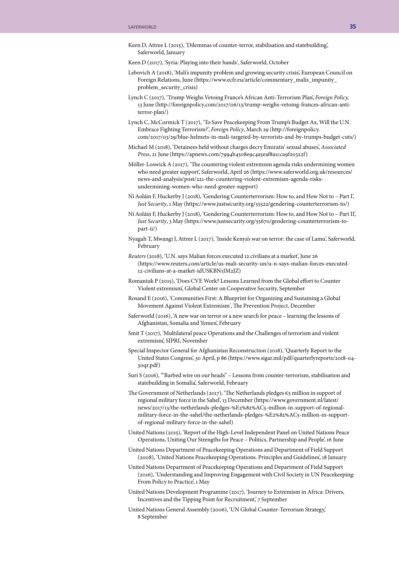- Keen D, Attree L (2015), 'Dilemmas of counter-terror, stabilisation and statebuilding', Saferworld, January
- Keen D (2017), 'Syria: Playing into their hands', Saferworld, October
- Lebovich A (2018), 'Mali's impunity problem and growing security crisis', European Council on Foreign Relations, June (https://www.ecfr.eu/article/commentary\_malis\_impunity\_ problem\_security\_crisis)
- Lynch C (2017), 'Trump Weighs Vetoing France's African Anti-Terrorism Plan', *Foreign Policy,* 13 June (http://foreignpolicy.com/2017/06/13/trump-weighs-vetoing-frances-african-antiterror-plan/)
- Lynch C, McCormick T (2017), 'To Save Peacekeeping From Trump's Budget Ax, Will the U.N. Embrace Fighting Terrorism?', *Foreign Policy*, March 29 (http://foreignpolicy. com/2017/03/29/blue-helmets-in-mali-targeted-by-terrorists-and-by-trumps-budget-cuts/)
- Michael M (2018), 'Detainees held without charges decry Emiratis' sexual abuses', *Associated Press*, 21 June (https://apnews.com/7994b4508e9c4a5eaf8a1cca9f20322f)
- Möller-Loswick A (2017), 'The countering violent extremism agenda risks undermining women who need greater support', Saferworld, April 26 (https://www.saferworld.org.uk/resources/ news-and-analysis/post/221-the-countering-violent-extremism-agenda-risksundermining-women-who-need-greater-support)
- Ní Aoláin F, Huckerby J (2018), 'Gendering Counterterrorism: How to, and How Not to Part I', *Just Security*, 1 May (https://www.justsecurity.org/55522/gendering-counterterrorism-to/)
- Ní Aoláin F, Huckerby J (2018), 'Gendering Counterterrorism: How to, and How Not to Part II', *Just Security*, 3 May (https://www.justsecurity.org/55670/gendering-counterterrorism-topart-ii/)
- Nyagah T, Mwangi J, Attree L (2017), 'Inside Kenya's war on terror: the case of Lamu', Saferworld, February
- *Reuters* (2018), 'U.N. says Malian forces executed 12 civilians at a market', June 26 (https://www.reuters.com/article/us-mali-security-un/u-n-says-malian-forces-executed-12-civilians-at-a-market-idUSKBN1JM2JZ)
- Romaniuk P (2015), 'Does CVE Work? Lessons Learned from the Global effort to Counter Violent extremism', Global Center on Cooperative Security, September
- Rosand E (2016), 'Communities First: A Blueprint for Organizing and Sustaining a Global Movement Against Violent Extremism', The Prevention Project, December
- Saferworld (2016), 'A new war on terror or a new search for peace learning the lessons of Afghanistan, Somalia and Yemen', February
- Smit T (2017), 'Multilateral peace Operations and the Challenges of terrorism and violent extremism', SIPRI, November
- Special Inspector General for Afghanistan Reconstruction (2018), 'Quarterly Report to the United States Congress', 30 April, p 86 (https://www.sigar.mil/pdf/quarterlyreports/2018-04- 30qr.pdf)
- Suri S (2016), '"Barbed wire on our heads" Lessons from counter-terrorism, stabilisation and statebuilding in Somalia', Saferworld, February
- The Government of Netherlands (2017), 'The Netherlands pledges  $€5$  million in support of regional military force in the Sahel', 13 December (https://www.government.nl/latest/ news/2017/13/the-netherlands-pledges-%E2%82%AC5-million-in-support-of-regionalmilitary-force-in-the-sahel/the-netherlands-pledges-%E2%82%AC5-million-in-supportof-regional-military-force-in-the-sahel)
- United Nations (2015), 'Report of the High-Level Independent Panel on United Nations Peace Operations, Uniting Our Strengths for Peace – Politics, Partnership and People', 16 June
- United Nations Department of Peacekeeping Operations and Department of Field Support (2008), 'United Nations Peacekeeping Operations. Principles and Guidelines', 18 January
- United Nations Department of Peacekeeping Operations and Department of Field Support (2016), 'Understanding and Improving Engagement with Civil Society in UN Peacekeeping: From Policy to Practice', 1 May
- United Nations Development Programme (2017), 'Journey to Extremism in Africa: Drivers, Incentives and the Tipping Point for Recruitment,' 7 September
- United Nations General Assembly (2006), 'UN Global Counter-Terrorism Strategy,' 8 September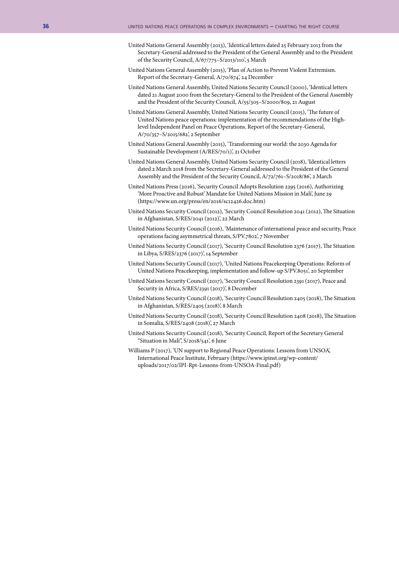- United Nations General Assembly (2013), 'Identical letters dated 25 February 2013 from the Secretary-General addressed to the President of the General Assembly and to the President of the Security Council, A/67/775–S/2013/110', 5 March
- United Nations General Assembly (2015), 'Plan of Action to Prevent Violent Extremism. Report of the Secretary-General, A/70/674', 24 December
- United Nations General Assembly, United Nations Security Council (2000), 'Identical letters dated 21 August 2000 from the Secretary-General to the President of the General Assembly and the President of the Security Council, A/55/305–S/2000/809, 21 August
- United Nations General Assembly, United Nations Security Council (2015), 'The future of United Nations peace operations: implementation of the recommendations of the Highlevel Independent Panel on Peace Operations. Report of the Secretary-General, A/70/357–S/2015/682', 2 September
- United Nations General Assembly (2015), 'Transforming our world: the 2030 Agenda for Sustainable Development (A/RES/70/1)', 21 October
- United Nations General Assembly, United Nations Security Council (2018), 'Identical letters dated 2 March 2018 from the Secretary-General addressed to the President of the General Assembly and the President of the Security Council, A/72/761–S/2018/86', 2 March
- United Nations Press (2016), 'Security Council Adopts Resolution 2295 (2016), Authorizing 'More Proactive and Robust' Mandate for United Nations Mission in Mali', June 29 (https://www.un.org/press/en/2016/sc12426.doc.htm)
- United Nations Security Council (2012), 'Security Council Resolution 2041 (2012), The Situation in Afghanistan, S/RES/2041 (2012)', 22 March
- United Nations Security Council (2016), 'Maintenance of international peace and security, Peace operations facing asymmetrical threats, S/PV.7802', 7 November
- United Nations Security Council (2017), 'Security Council Resolution 2376 (2017), The Situation in Libya, S/RES/2376 (2017)', 14 September
- United Nations Security Council (2017), 'United Nations Peacekeeping Operations: Reform of United Nations Peacekeeping, implementation and follow-up S/PV.8051', 20 September
- United Nations Security Council (2017), 'Security Council Resolution 2391 (2017), Peace and Security in Africa, S/RES/2391 (2017)', 8 December
- United Nations Security Council (2018), 'Security Council Resolution 2405 (2018), The Situation in Afghanistan, S/RES/2405 (2018)', 8 March
- United Nations Security Council (2018), 'Security Council Resolution 2408 (2018), The Situation in Somalia, S/RES/2408 (2018)', 27 March
- United Nations Security Council (2018), 'Security Council, Report of the Secretary General "Situation in Mali", S/2018/541', 6 June
- Williams P (2017), 'UN support to Regional Peace Operations: Lessons from UNSOA', International Peace Institute, February (https://www.ipinst.org/wp-content/ uploads/2017/02/IPI-Rpt-Lessons-from-UNSOA-Final.pdf)